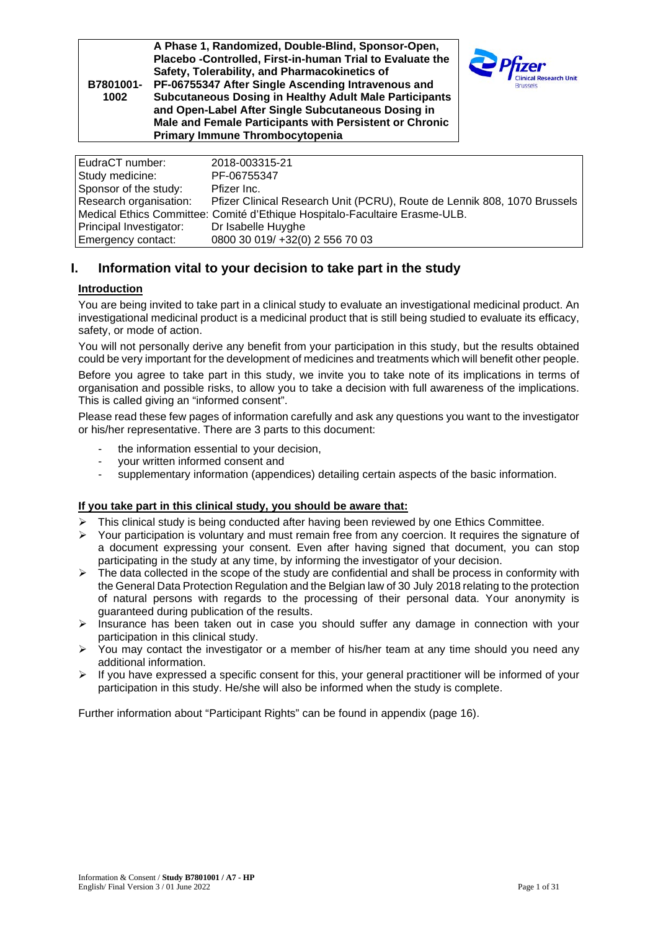| 1002 | A Phase 1, Randomized, Double-Blind, Sponsor-Open,<br>Placebo - Controlled, First-in-human Trial to Evaluate the<br>Safety, Tolerability, and Pharmacokinetics of<br>B7801001- PF-06755347 After Single Ascending Intravenous and<br><b>Subcutaneous Dosing in Healthy Adult Male Participants</b><br>and Open-Label After Single Subcutaneous Dosing in<br>Male and Female Participants with Persistent or Chronic<br>Primary Immune Thrombocytopenia | Pfizer<br><b>Brussels</b> |
|------|--------------------------------------------------------------------------------------------------------------------------------------------------------------------------------------------------------------------------------------------------------------------------------------------------------------------------------------------------------------------------------------------------------------------------------------------------------|---------------------------|
|------|--------------------------------------------------------------------------------------------------------------------------------------------------------------------------------------------------------------------------------------------------------------------------------------------------------------------------------------------------------------------------------------------------------------------------------------------------------|---------------------------|

| EudraCT number:         | 2018-003315-21                                                              |
|-------------------------|-----------------------------------------------------------------------------|
| Study medicine:         | PF-06755347                                                                 |
| Sponsor of the study:   | Pfizer Inc.                                                                 |
| Research organisation:  | Pfizer Clinical Research Unit (PCRU), Route de Lennik 808, 1070 Brussels    |
|                         | Medical Ethics Committee: Comité d'Ethique Hospitalo-Facultaire Erasme-ULB. |
| Principal Investigator: | Dr Isabelle Huyghe                                                          |
| Emergency contact:      | 0800 30 019/ +32(0) 2 556 70 03                                             |

# **I. Information vital to your decision to take part in the study**

# **Introduction**

You are being invited to take part in a clinical study to evaluate an investigational medicinal product. An investigational medicinal product is a medicinal product that is still being studied to evaluate its efficacy, safety, or mode of action.

You will not personally derive any benefit from your participation in this study, but the results obtained could be very important for the development of medicines and treatments which will benefit other people.

Before you agree to take part in this study, we invite you to take note of its implications in terms of organisation and possible risks, to allow you to take a decision with full awareness of the implications. This is called giving an "informed consent".

Please read these few pages of information carefully and ask any questions you want to the investigator or his/her representative. There are 3 parts to this document:

- the information essential to your decision,
- your written informed consent and
- supplementary information (appendices) detailing certain aspects of the basic information.

### **If you take part in this clinical study, you should be aware that:**

- This clinical study is being conducted after having been reviewed by one Ethics Committee.
- $\triangleright$  Your participation is voluntary and must remain free from any coercion. It requires the signature of a document expressing your consent. Even after having signed that document, you can stop participating in the study at any time, by informing the investigator of your decision.
- $\triangleright$  The data collected in the scope of the study are confidential and shall be process in conformity with the General Data Protection Regulation and the Belgian law of 30 July 2018 relating to the protection of natural persons with regards to the processing of their personal data. Your anonymity is guaranteed during publication of the results.
- $\triangleright$  Insurance has been taken out in case you should suffer any damage in connection with your participation in this clinical study.
- $\triangleright$  You may contact the investigator or a member of his/her team at any time should you need any additional information.
- If you have expressed a specific consent for this, your general practitioner will be informed of your participation in this study. He/she will also be informed when the study is complete.

Further information about "Participant Rights" can be found in appendix (page [16\)](#page-15-0).

al Research Unit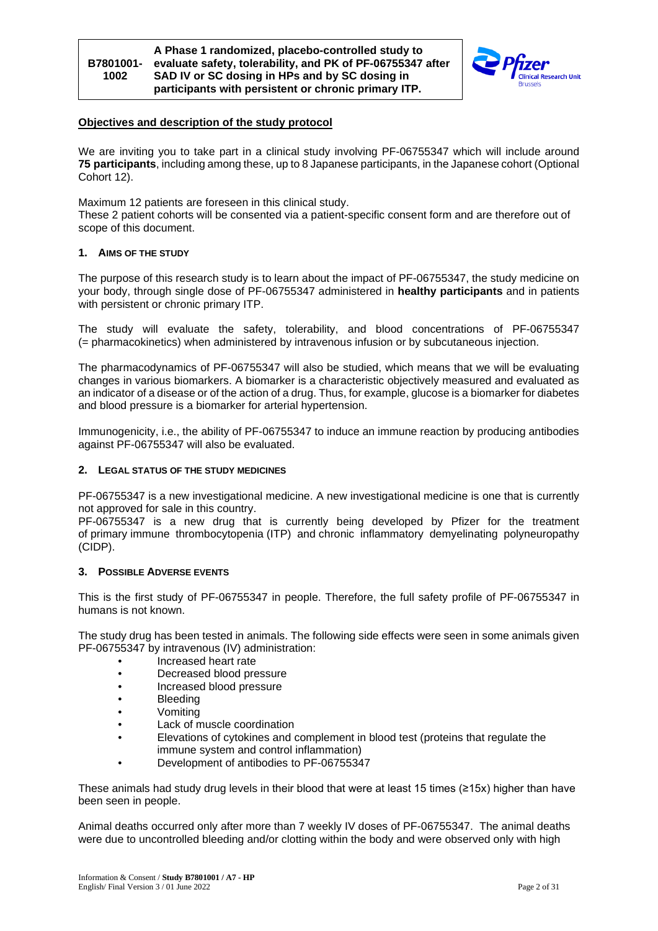

#### **Objectives and description of the study protocol**

We are inviting you to take part in a clinical study involving PF-06755347 which will include around **75 participants**, including among these, up to 8 Japanese participants, in the Japanese cohort (Optional Cohort 12).

Maximum 12 patients are foreseen in this clinical study.

These 2 patient cohorts will be consented via a patient-specific consent form and are therefore out of scope of this document.

#### **1. AIMS OF THE STUDY**

The purpose of this research study is to learn about the impact of PF-06755347, the study medicine on your body, through single dose of PF-06755347 administered in **healthy participants** and in patients with persistent or chronic primary ITP.

The study will evaluate the safety, tolerability, and blood concentrations of PF-06755347 (= pharmacokinetics) when administered by intravenous infusion or by subcutaneous injection.

The pharmacodynamics of PF-06755347 will also be studied, which means that we will be evaluating changes in various biomarkers. A biomarker is a characteristic objectively measured and evaluated as an indicator of a disease or of the action of a drug. Thus, for example, glucose is a biomarker for diabetes and blood pressure is a biomarker for arterial hypertension.

Immunogenicity, i.e., the ability of PF-06755347 to induce an immune reaction by producing antibodies against PF-06755347 will also be evaluated.

#### **2. LEGAL STATUS OF THE STUDY MEDICINES**

PF-06755347 is a new investigational medicine. A new investigational medicine is one that is currently not approved for sale in this country.

PF-06755347 is a new drug that is currently being developed by Pfizer for the treatment of primary immune thrombocytopenia (ITP) and chronic inflammatory demyelinating polyneuropathy (CIDP).

#### **3. POSSIBLE ADVERSE EVENTS**

This is the first study of PF-06755347 in people. Therefore, the full safety profile of PF-06755347 in humans is not known.

The study drug has been tested in animals. The following side effects were seen in some animals given PF-06755347 by intravenous (IV) administration:

- Increased heart rate
- Decreased blood pressure
- Increased blood pressure
- Bleeding
- Vomiting
- Lack of muscle coordination
- Elevations of cytokines and complement in blood test (proteins that regulate the immune system and control inflammation)
- Development of antibodies to PF-06755347

These animals had study drug levels in their blood that were at least 15 times (≥15x) higher than have been seen in people.

Animal deaths occurred only after more than 7 weekly IV doses of PF-06755347. The animal deaths were due to uncontrolled bleeding and/or clotting within the body and were observed only with high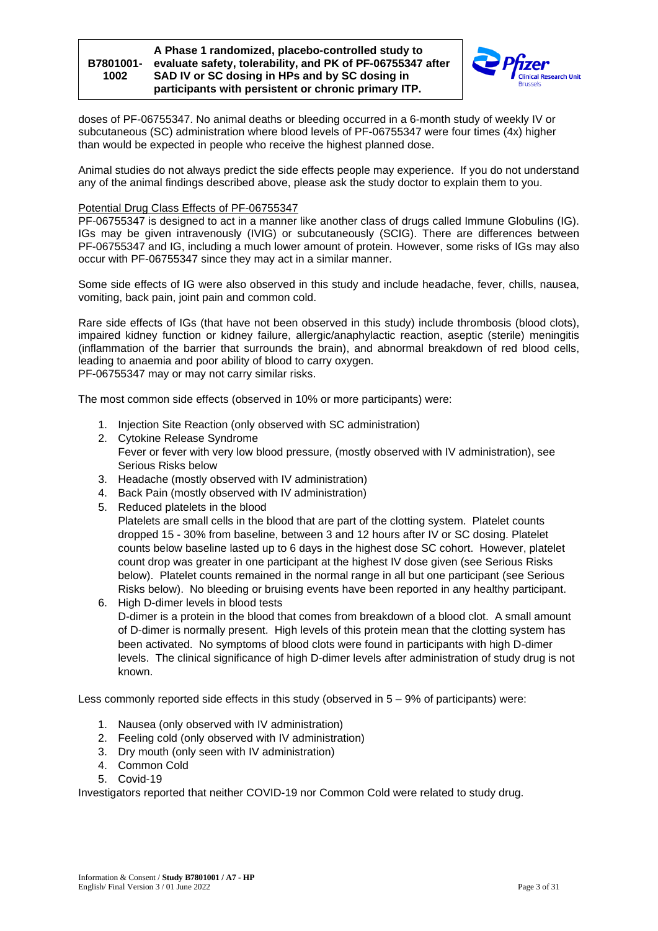

doses of PF-06755347. No animal deaths or bleeding occurred in a 6-month study of weekly IV or subcutaneous (SC) administration where blood levels of PF-06755347 were four times (4x) higher than would be expected in people who receive the highest planned dose.

Animal studies do not always predict the side effects people may experience. If you do not understand any of the animal findings described above, please ask the study doctor to explain them to you.

#### Potential Drug Class Effects of PF-06755347

PF-06755347 is designed to act in a manner like another class of drugs called Immune Globulins (IG). IGs may be given intravenously (IVIG) or subcutaneously (SCIG). There are differences between PF-06755347 and IG, including a much lower amount of protein. However, some risks of IGs may also occur with PF-06755347 since they may act in a similar manner.

Some side effects of IG were also observed in this study and include headache, fever, chills, nausea, vomiting, back pain, joint pain and common cold.

Rare side effects of IGs (that have not been observed in this study) include thrombosis (blood clots), impaired kidney function or kidney failure, allergic/anaphylactic reaction, aseptic (sterile) meningitis (inflammation of the barrier that surrounds the brain), and abnormal breakdown of red blood cells, leading to anaemia and poor ability of blood to carry oxygen. PF-06755347 may or may not carry similar risks.

The most common side effects (observed in 10% or more participants) were:

- 1. Injection Site Reaction (only observed with SC administration)
- 2. Cytokine Release Syndrome Fever or fever with very low blood pressure, (mostly observed with IV administration), see Serious Risks below
- 3. Headache (mostly observed with IV administration)
- 4. Back Pain (mostly observed with IV administration)
- 5. Reduced platelets in the blood

Platelets are small cells in the blood that are part of the clotting system. Platelet counts dropped 15 - 30% from baseline, between 3 and 12 hours after IV or SC dosing. Platelet counts below baseline lasted up to 6 days in the highest dose SC cohort. However, platelet count drop was greater in one participant at the highest IV dose given (see Serious Risks below). Platelet counts remained in the normal range in all but one participant (see Serious Risks below). No bleeding or bruising events have been reported in any healthy participant.

6. High D-dimer levels in blood tests D-dimer is a protein in the blood that comes from breakdown of a blood clot. A small amount of D-dimer is normally present. High levels of this protein mean that the clotting system has been activated. No symptoms of blood clots were found in participants with high D-dimer levels. The clinical significance of high D-dimer levels after administration of study drug is not known.

Less commonly reported side effects in this study (observed in  $5 - 9\%$  of participants) were:

- 1. Nausea (only observed with IV administration)
- 2. Feeling cold (only observed with IV administration)
- 3. Dry mouth (only seen with IV administration)
- 4. Common Cold
- 5. Covid-19

Investigators reported that neither COVID-19 nor Common Cold were related to study drug.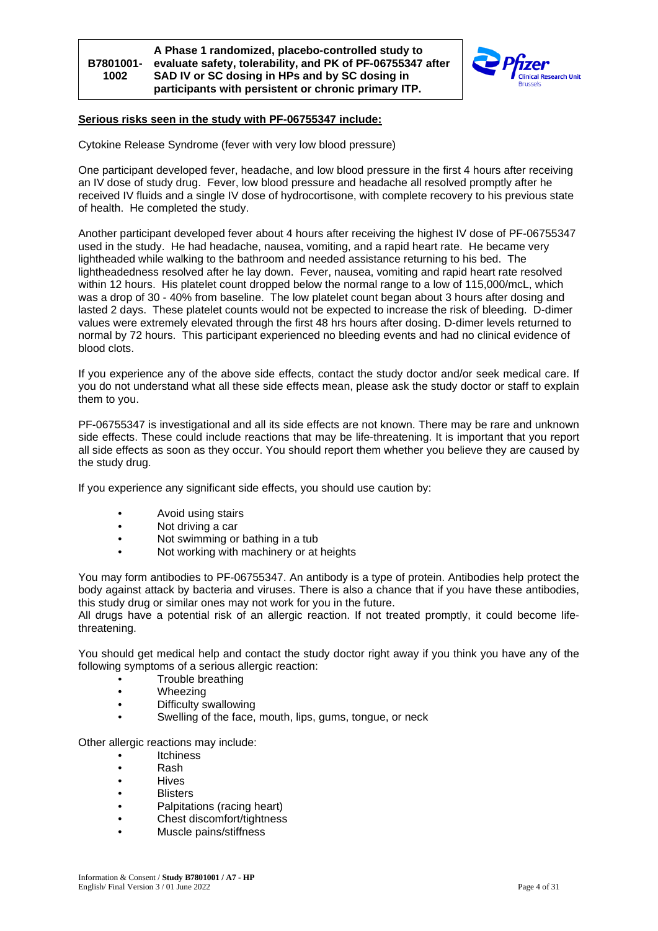

#### **Serious risks seen in the study with PF-06755347 include:**

Cytokine Release Syndrome (fever with very low blood pressure)

One participant developed fever, headache, and low blood pressure in the first 4 hours after receiving an IV dose of study drug. Fever, low blood pressure and headache all resolved promptly after he received IV fluids and a single IV dose of hydrocortisone, with complete recovery to his previous state of health. He completed the study.

Another participant developed fever about 4 hours after receiving the highest IV dose of PF-06755347 used in the study. He had headache, nausea, vomiting, and a rapid heart rate. He became very lightheaded while walking to the bathroom and needed assistance returning to his bed. The lightheadedness resolved after he lay down. Fever, nausea, vomiting and rapid heart rate resolved within 12 hours. His platelet count dropped below the normal range to a low of 115,000/mcL, which was a drop of 30 - 40% from baseline. The low platelet count began about 3 hours after dosing and lasted 2 days. These platelet counts would not be expected to increase the risk of bleeding. D-dimer values were extremely elevated through the first 48 hrs hours after dosing. D-dimer levels returned to normal by 72 hours. This participant experienced no bleeding events and had no clinical evidence of blood clots.

If you experience any of the above side effects, contact the study doctor and/or seek medical care. If you do not understand what all these side effects mean, please ask the study doctor or staff to explain them to you.

PF-06755347 is investigational and all its side effects are not known. There may be rare and unknown side effects. These could include reactions that may be life-threatening. It is important that you report all side effects as soon as they occur. You should report them whether you believe they are caused by the study drug.

If you experience any significant side effects, you should use caution by:

- Avoid using stairs
- Not driving a car
- Not swimming or bathing in a tub
- Not working with machinery or at heights

You may form antibodies to PF-06755347. An antibody is a type of protein. Antibodies help protect the body against attack by bacteria and viruses. There is also a chance that if you have these antibodies, this study drug or similar ones may not work for you in the future.

All drugs have a potential risk of an allergic reaction. If not treated promptly, it could become lifethreatening.

You should get medical help and contact the study doctor right away if you think you have any of the following symptoms of a serious allergic reaction:

- Trouble breathing
- Wheezing
- Difficulty swallowing
- Swelling of the face, mouth, lips, gums, tongue, or neck

Other allergic reactions may include:

- Itchiness
- Rash<br>• Hives
- Hives
- Blisters
- Palpitations (racing heart)
- Chest discomfort/tightness
- Muscle pains/stiffness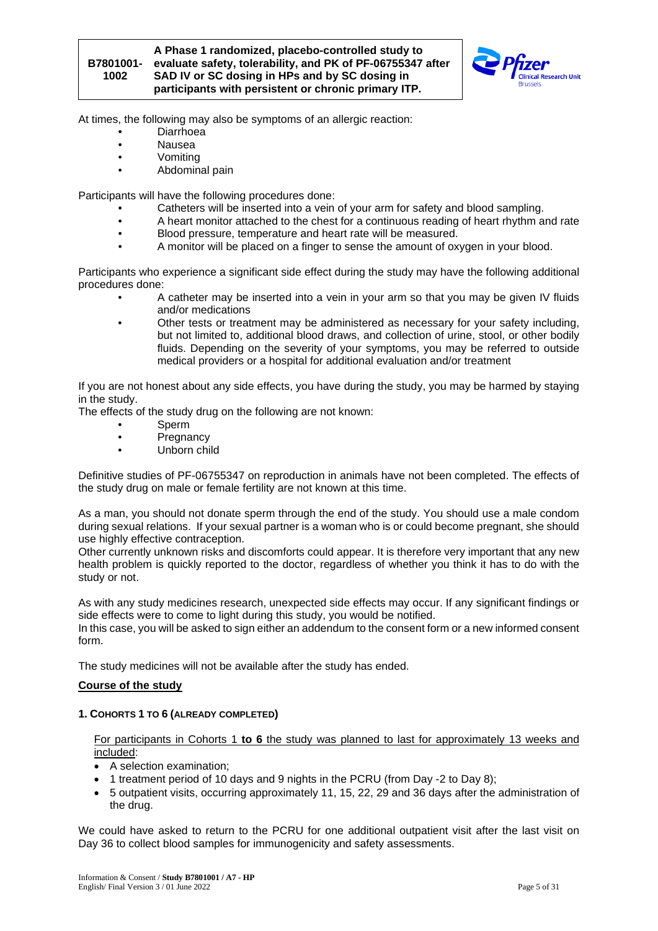

At times, the following may also be symptoms of an allergic reaction:

- Diarrhoea
- Nausea
- Vomiting
- Abdominal pain

Participants will have the following procedures done:

- Catheters will be inserted into a vein of your arm for safety and blood sampling.
- A heart monitor attached to the chest for a continuous reading of heart rhythm and rate
- Blood pressure, temperature and heart rate will be measured.
- A monitor will be placed on a finger to sense the amount of oxygen in your blood.

Participants who experience a significant side effect during the study may have the following additional procedures done:

- A catheter may be inserted into a vein in your arm so that you may be given IV fluids and/or medications
- Other tests or treatment may be administered as necessary for your safety including, but not limited to, additional blood draws, and collection of urine, stool, or other bodily fluids. Depending on the severity of your symptoms, you may be referred to outside medical providers or a hospital for additional evaluation and/or treatment

If you are not honest about any side effects, you have during the study, you may be harmed by staying in the study.

The effects of the study drug on the following are not known:

- Sperm
- Pregnancy
- Unborn child

Definitive studies of PF-06755347 on reproduction in animals have not been completed. The effects of the study drug on male or female fertility are not known at this time.

As a man, you should not donate sperm through the end of the study. You should use a male condom during sexual relations. If your sexual partner is a woman who is or could become pregnant, she should use highly effective contraception.

Other currently unknown risks and discomforts could appear. It is therefore very important that any new health problem is quickly reported to the doctor, regardless of whether you think it has to do with the study or not.

As with any study medicines research, unexpected side effects may occur. If any significant findings or side effects were to come to light during this study, you would be notified.

In this case, you will be asked to sign either an addendum to the consent form or a new informed consent form.

The study medicines will not be available after the study has ended.

### **Course of the study**

### **1. COHORTS 1 TO 6 (ALREADY COMPLETED)**

For participants in Cohorts 1 **to 6** the study was planned to last for approximately 13 weeks and included:

- A selection examination;
- 1 treatment period of 10 days and 9 nights in the PCRU (from Day -2 to Day 8);
- 5 outpatient visits, occurring approximately 11, 15, 22, 29 and 36 days after the administration of the drug.

We could have asked to return to the PCRU for one additional outpatient visit after the last visit on Day 36 to collect blood samples for immunogenicity and safety assessments.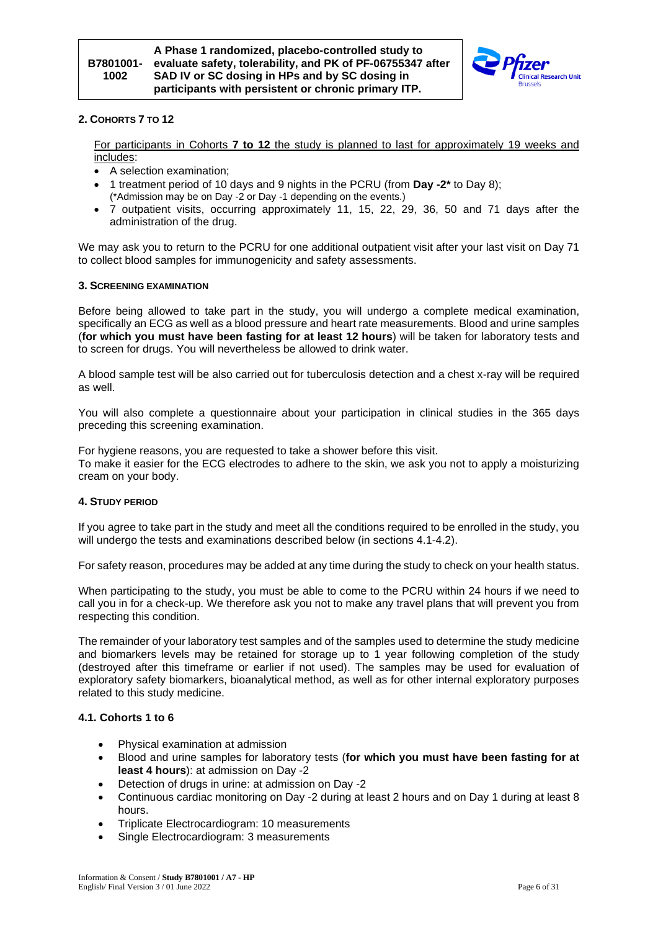

# **2. COHORTS 7 TO 12**

For participants in Cohorts **7 to 12** the study is planned to last for approximately 19 weeks and includes:

- A selection examination;
- 1 treatment period of 10 days and 9 nights in the PCRU (from **Day -2\*** to Day 8);
- (\*Admission may be on Day -2 or Day -1 depending on the events.)
- 7 outpatient visits, occurring approximately 11, 15, 22, 29, 36, 50 and 71 days after the administration of the drug.

We may ask you to return to the PCRU for one additional outpatient visit after your last visit on Day 71 to collect blood samples for immunogenicity and safety assessments.

#### **3. SCREENING EXAMINATION**

Before being allowed to take part in the study, you will undergo a complete medical examination, specifically an ECG as well as a blood pressure and heart rate measurements. Blood and urine samples (**for which you must have been fasting for at least 12 hours**) will be taken for laboratory tests and to screen for drugs. You will nevertheless be allowed to drink water.

A blood sample test will be also carried out for tuberculosis detection and a chest x-ray will be required as well.

You will also complete a questionnaire about your participation in clinical studies in the 365 days preceding this screening examination.

For hygiene reasons, you are requested to take a shower before this visit. To make it easier for the ECG electrodes to adhere to the skin, we ask you not to apply a moisturizing cream on your body.

### **4. STUDY PERIOD**

If you agree to take part in the study and meet all the conditions required to be enrolled in the study, you will undergo the tests and examinations described below (in sections 4.1-4.2).

For safety reason, procedures may be added at any time during the study to check on your health status.

When participating to the study, you must be able to come to the PCRU within 24 hours if we need to call you in for a check-up. We therefore ask you not to make any travel plans that will prevent you from respecting this condition.

The remainder of your laboratory test samples and of the samples used to determine the study medicine and biomarkers levels may be retained for storage up to 1 year following completion of the study (destroyed after this timeframe or earlier if not used). The samples may be used for evaluation of exploratory safety biomarkers, bioanalytical method, as well as for other internal exploratory purposes related to this study medicine.

### **4.1. Cohorts 1 to 6**

- Physical examination at admission
- Blood and urine samples for laboratory tests (**for which you must have been fasting for at least 4 hours**): at admission on Day -2
- Detection of drugs in urine: at admission on Day -2
- Continuous cardiac monitoring on Day -2 during at least 2 hours and on Day 1 during at least 8 hours.
- Triplicate Electrocardiogram: 10 measurements
- Single Electrocardiogram: 3 measurements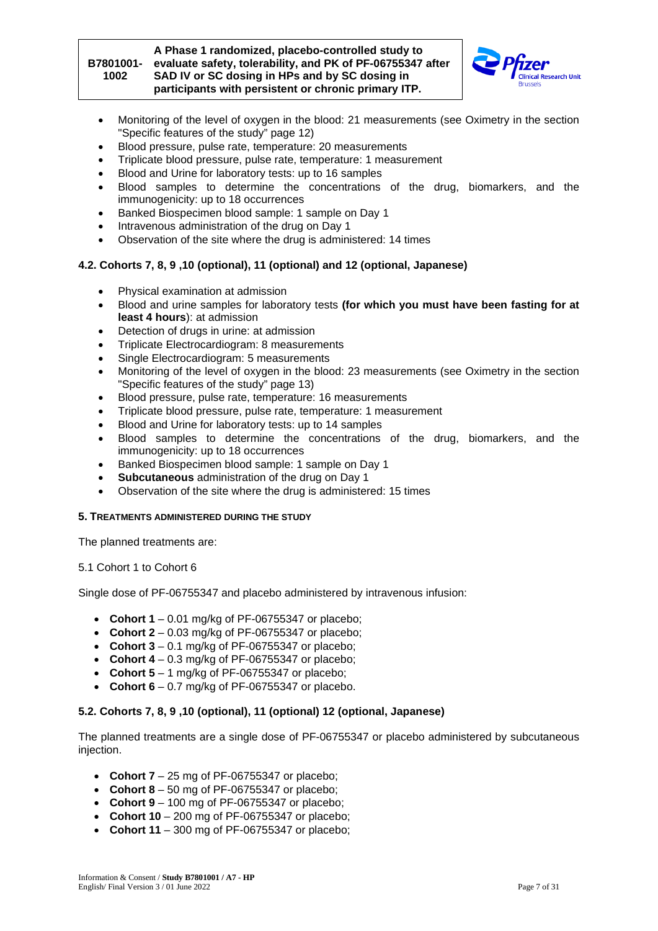

- Monitoring of the level of oxygen in the blood: 21 measurements (see Oximetry in the section "Specific features of the study" page [12\)](#page-11-0)
- Blood pressure, pulse rate, temperature: 20 measurements
- Triplicate blood pressure, pulse rate, temperature: 1 measurement
- Blood and Urine for laboratory tests: up to 16 samples
- Blood samples to determine the concentrations of the drug, biomarkers, and the immunogenicity: up to 18 occurrences
- Banked Biospecimen blood sample: 1 sample on Day 1
- Intravenous administration of the drug on Day 1
- Observation of the site where the drug is administered: 14 times

# **4.2. Cohorts 7, 8, 9 ,10 (optional), 11 (optional) and 12 (optional, Japanese)**

- Physical examination at admission
- Blood and urine samples for laboratory tests **(for which you must have been fasting for at least 4 hours**): at admission
- Detection of drugs in urine: at admission
- Triplicate Electrocardiogram: 8 measurements
- Single Electrocardiogram: 5 measurements
- Monitoring of the level of oxygen in the blood: 23 measurements (see Oximetry in the section "Specific features of the study" page [13\)](#page-12-0)
- Blood pressure, pulse rate, temperature: 16 measurements
- Triplicate blood pressure, pulse rate, temperature: 1 measurement
- Blood and Urine for laboratory tests: up to 14 samples
- Blood samples to determine the concentrations of the drug, biomarkers, and the immunogenicity: up to 18 occurrences
- Banked Biospecimen blood sample: 1 sample on Day 1
- **Subcutaneous** administration of the drug on Day 1
- Observation of the site where the drug is administered: 15 times

#### **5. TREATMENTS ADMINISTERED DURING THE STUDY**

The planned treatments are:

5.1 Cohort 1 to Cohort 6

Single dose of PF-06755347 and placebo administered by intravenous infusion:

- **Cohort 1**  0.01 mg/kg of PF-06755347 or placebo;
- **Cohort 2**  0.03 mg/kg of PF-06755347 or placebo;
- **Cohort 3**  0.1 mg/kg of PF-06755347 or placebo;
- **Cohort 4**  0.3 mg/kg of PF-06755347 or placebo;
- **Cohort 5**  1 mg/kg of PF-06755347 or placebo;
- **Cohort 6**  0.7 mg/kg of PF-06755347 or placebo.

# **5.2. Cohorts 7, 8, 9 ,10 (optional), 11 (optional) 12 (optional, Japanese)**

The planned treatments are a single dose of PF-06755347 or placebo administered by subcutaneous injection.

- **Cohort 7** 25 mg of PF-06755347 or placebo;
- **Cohort 8** 50 mg of PF-06755347 or placebo;
- **Cohort 9** 100 mg of PF-06755347 or placebo;
- **Cohort 10** 200 mg of PF-06755347 or placebo;
- **Cohort 11** 300 mg of PF-06755347 or placebo;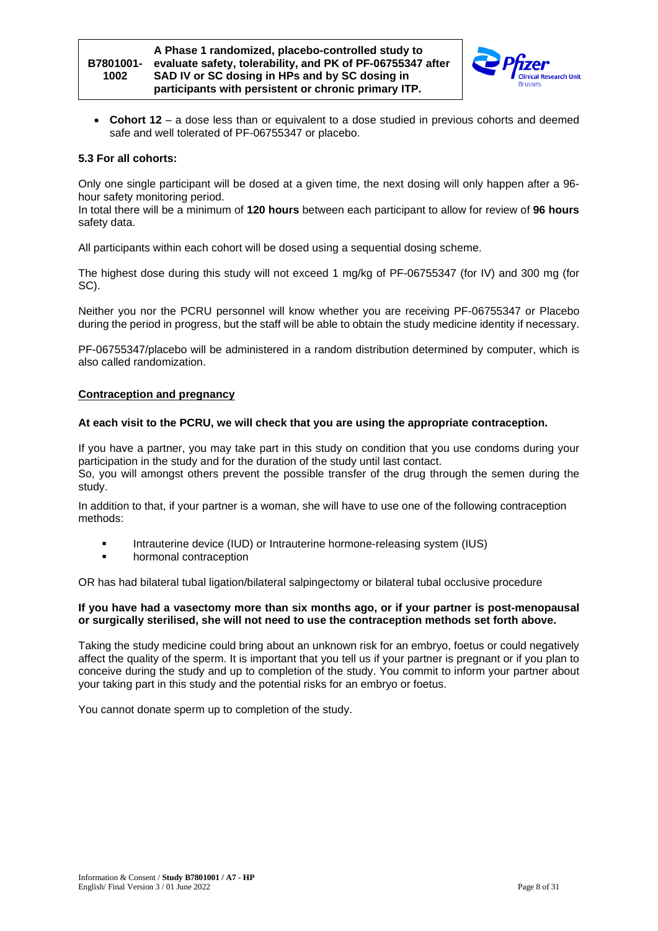

• **Cohort 12** – a dose less than or equivalent to a dose studied in previous cohorts and deemed safe and well tolerated of PF-06755347 or placebo.

### **5.3 For all cohorts:**

Only one single participant will be dosed at a given time, the next dosing will only happen after a 96 hour safety monitoring period.

In total there will be a minimum of **120 hours** between each participant to allow for review of **96 hours** safety data.

All participants within each cohort will be dosed using a sequential dosing scheme.

The highest dose during this study will not exceed 1 mg/kg of PF-06755347 (for IV) and 300 mg (for SC).

Neither you nor the PCRU personnel will know whether you are receiving PF-06755347 or Placebo during the period in progress, but the staff will be able to obtain the study medicine identity if necessary.

PF-06755347/placebo will be administered in a random distribution determined by computer, which is also called randomization.

#### **Contraception and pregnancy**

#### **At each visit to the PCRU, we will check that you are using the appropriate contraception.**

If you have a partner, you may take part in this study on condition that you use condoms during your participation in the study and for the duration of the study until last contact. So, you will amongst others prevent the possible transfer of the drug through the semen during the study.

In addition to that, if your partner is a woman, she will have to use one of the following contraception methods:

- Intrauterine device (IUD) or Intrauterine hormone-releasing system (IUS)
- hormonal contraception

OR has had bilateral tubal ligation/bilateral salpingectomy or bilateral tubal occlusive procedure

#### **If you have had a vasectomy more than six months ago, or if your partner is post-menopausal or surgically sterilised, she will not need to use the contraception methods set forth above.**

Taking the study medicine could bring about an unknown risk for an embryo, foetus or could negatively affect the quality of the sperm. It is important that you tell us if your partner is pregnant or if you plan to conceive during the study and up to completion of the study. You commit to inform your partner about your taking part in this study and the potential risks for an embryo or foetus.

You cannot donate sperm up to completion of the study.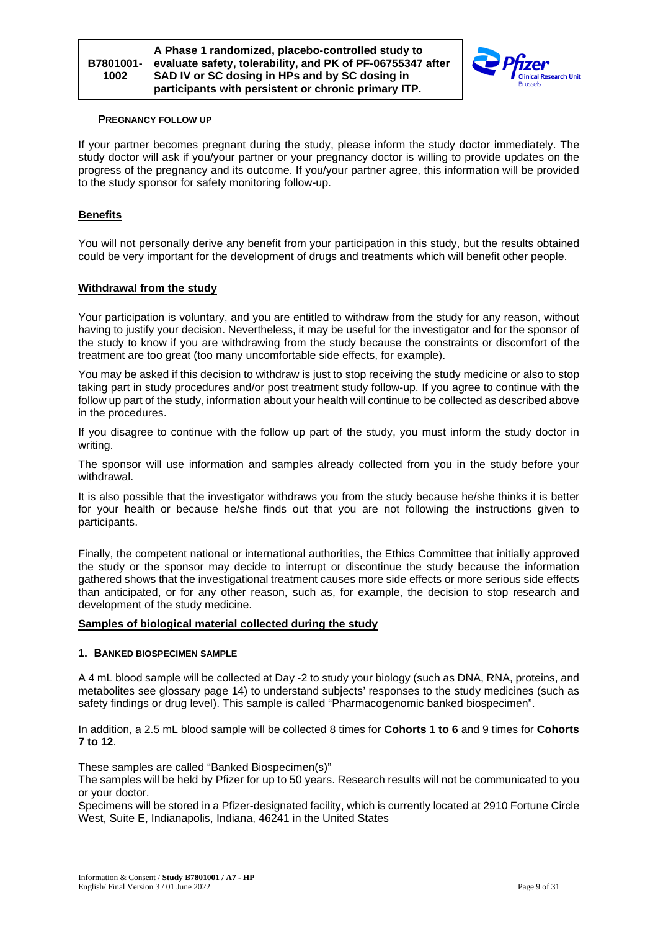

#### **PREGNANCY FOLLOW UP**

If your partner becomes pregnant during the study, please inform the study doctor immediately. The study doctor will ask if you/your partner or your pregnancy doctor is willing to provide updates on the progress of the pregnancy and its outcome. If you/your partner agree, this information will be provided to the study sponsor for safety monitoring follow-up.

#### **Benefits**

You will not personally derive any benefit from your participation in this study, but the results obtained could be very important for the development of drugs and treatments which will benefit other people.

#### **Withdrawal from the study**

Your participation is voluntary, and you are entitled to withdraw from the study for any reason, without having to justify your decision. Nevertheless, it may be useful for the investigator and for the sponsor of the study to know if you are withdrawing from the study because the constraints or discomfort of the treatment are too great (too many uncomfortable side effects, for example).

You may be asked if this decision to withdraw is just to stop receiving the study medicine or also to stop taking part in study procedures and/or post treatment study follow-up. If you agree to continue with the follow up part of the study, information about your health will continue to be collected as described above in the procedures.

If you disagree to continue with the follow up part of the study, you must inform the study doctor in writing.

The sponsor will use information and samples already collected from you in the study before your withdrawal.

It is also possible that the investigator withdraws you from the study because he/she thinks it is better for your health or because he/she finds out that you are not following the instructions given to participants.

Finally, the competent national or international authorities, the Ethics Committee that initially approved the study or the sponsor may decide to interrupt or discontinue the study because the information gathered shows that the investigational treatment causes more side effects or more serious side effects than anticipated, or for any other reason, such as, for example, the decision to stop research and development of the study medicine.

#### **Samples of biological material collected during the study**

#### **1. BANKED BIOSPECIMEN SAMPLE**

A 4 mL blood sample will be collected at Day -2 to study your biology (such as DNA, RNA, proteins, and metabolites see glossary page [14\)](#page-13-0) to understand subjects' responses to the study medicines (such as safety findings or drug level). This sample is called "Pharmacogenomic banked biospecimen".

In addition, a 2.5 mL blood sample will be collected 8 times for **Cohorts 1 to 6** and 9 times for **Cohorts 7 to 12**.

These samples are called "Banked Biospecimen(s)"

The samples will be held by Pfizer for up to 50 years. Research results will not be communicated to you or your doctor.

Specimens will be stored in a Pfizer-designated facility, which is currently located at 2910 Fortune Circle West, Suite E, Indianapolis, Indiana, 46241 in the United States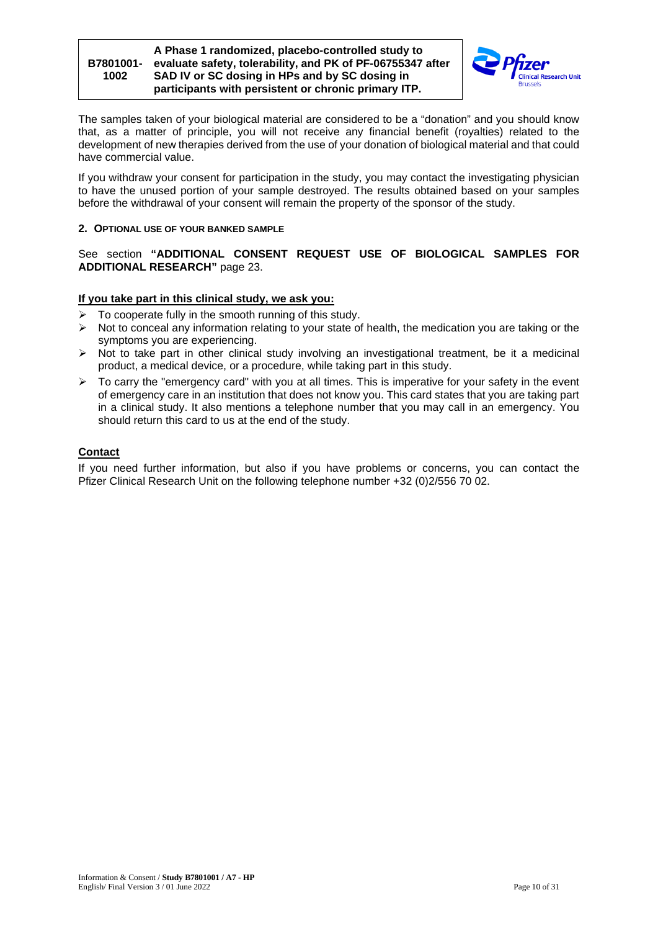

The samples taken of your biological material are considered to be a "donation" and you should know that, as a matter of principle, you will not receive any financial benefit (royalties) related to the development of new therapies derived from the use of your donation of biological material and that could have commercial value.

If you withdraw your consent for participation in the study, you may contact the investigating physician to have the unused portion of your sample destroyed. The results obtained based on your samples before the withdrawal of your consent will remain the property of the sponsor of the study.

#### **2. OPTIONAL USE OF YOUR BANKED SAMPLE**

See section **"ADDITIONAL CONSENT REQUEST USE OF BIOLOGICAL SAMPLES FOR ADDITIONAL RESEARCH"** page [23.](#page-22-0)

### **If you take part in this clinical study, we ask you:**

- To cooperate fully in the smooth running of this study.
- $\triangleright$  Not to conceal any information relating to your state of health, the medication you are taking or the symptoms you are experiencing.
- $\triangleright$  Not to take part in other clinical study involving an investigational treatment, be it a medicinal product, a medical device, or a procedure, while taking part in this study.
- To carry the "emergency card" with you at all times. This is imperative for your safety in the event of emergency care in an institution that does not know you. This card states that you are taking part in a clinical study. It also mentions a telephone number that you may call in an emergency. You should return this card to us at the end of the study.

#### **Contact**

If you need further information, but also if you have problems or concerns, you can contact the Pfizer Clinical Research Unit on the following telephone number +32 (0)2/556 70 02.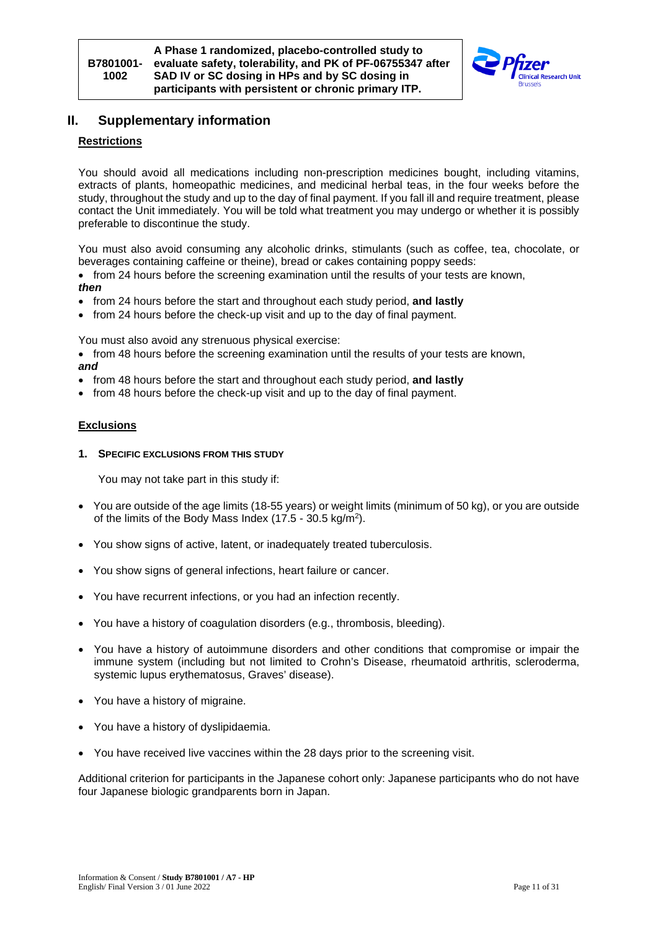

# **II. Supplementary information**

# <span id="page-10-0"></span>**Restrictions**

You should avoid all medications including non-prescription medicines bought, including vitamins, extracts of plants, homeopathic medicines, and medicinal herbal teas, in the four weeks before the study, throughout the study and up to the day of final payment. If you fall ill and require treatment, please contact the Unit immediately. You will be told what treatment you may undergo or whether it is possibly preferable to discontinue the study.

You must also avoid consuming any alcoholic drinks, stimulants (such as coffee, tea, chocolate, or beverages containing caffeine or theine), bread or cakes containing poppy seeds:

- from 24 hours before the screening examination until the results of your tests are known, *then*
- from 24 hours before the start and throughout each study period, **and lastly**
- from 24 hours before the check-up visit and up to the day of final payment.

You must also avoid any strenuous physical exercise:

- from 48 hours before the screening examination until the results of your tests are known. *and*
- from 48 hours before the start and throughout each study period, **and lastly**
- from 48 hours before the check-up visit and up to the day of final payment.

#### **Exclusions**

**1. SPECIFIC EXCLUSIONS FROM THIS STUDY**

You may not take part in this study if:

- You are outside of the age limits (18-55 years) or weight limits (minimum of 50 kg), or you are outside of the limits of the Body Mass Index (17.5 - 30.5 kg/m2).
- You show signs of active, latent, or inadequately treated tuberculosis.
- You show signs of general infections, heart failure or cancer.
- You have recurrent infections, or you had an infection recently.
- You have a history of coagulation disorders (e.g., thrombosis, bleeding).
- You have a history of autoimmune disorders and other conditions that compromise or impair the immune system (including but not limited to Crohn's Disease, rheumatoid arthritis, scleroderma, systemic lupus erythematosus, Graves' disease).
- You have a history of migraine.
- You have a history of dyslipidaemia.
- You have received live vaccines within the 28 days prior to the screening visit.

Additional criterion for participants in the Japanese cohort only: Japanese participants who do not have four Japanese biologic grandparents born in Japan.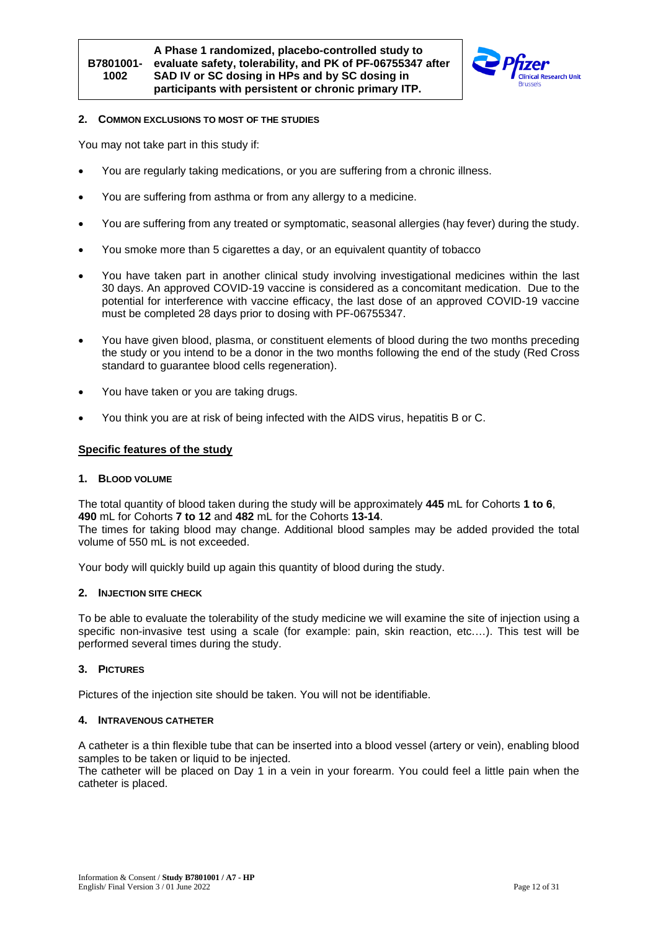

#### **2. COMMON EXCLUSIONS TO MOST OF THE STUDIES**

You may not take part in this study if:

- You are regularly taking medications, or you are suffering from a chronic illness.
- You are suffering from asthma or from any allergy to a medicine.
- You are suffering from any treated or symptomatic, seasonal allergies (hay fever) during the study.
- You smoke more than 5 cigarettes a day, or an equivalent quantity of tobacco
- You have taken part in another clinical study involving investigational medicines within the last 30 days. An approved COVID-19 vaccine is considered as a concomitant medication. Due to the potential for interference with vaccine efficacy, the last dose of an approved COVID-19 vaccine must be completed 28 days prior to dosing with PF-06755347.
- You have given blood, plasma, or constituent elements of blood during the two months preceding the study or you intend to be a donor in the two months following the end of the study (Red Cross standard to guarantee blood cells regeneration).
- You have taken or you are taking drugs.
- You think you are at risk of being infected with the AIDS virus, hepatitis B or C.

#### <span id="page-11-0"></span>**Specific features of the study**

#### **1. BLOOD VOLUME**

The total quantity of blood taken during the study will be approximately **445** mL for Cohorts **1 to 6**, **490** mL for Cohorts **7 to 12** and **482** mL for the Cohorts **13-14**.

The times for taking blood may change. Additional blood samples may be added provided the total volume of 550 mL is not exceeded.

Your body will quickly build up again this quantity of blood during the study.

#### **2. INJECTION SITE CHECK**

To be able to evaluate the tolerability of the study medicine we will examine the site of injection using a specific non-invasive test using a scale (for example: pain, skin reaction, etc.…). This test will be performed several times during the study.

#### **3. PICTURES**

Pictures of the injection site should be taken. You will not be identifiable.

#### **4. INTRAVENOUS CATHETER**

A catheter is a thin flexible tube that can be inserted into a blood vessel (artery or vein), enabling blood samples to be taken or liquid to be injected.

The catheter will be placed on Day 1 in a vein in your forearm. You could feel a little pain when the catheter is placed.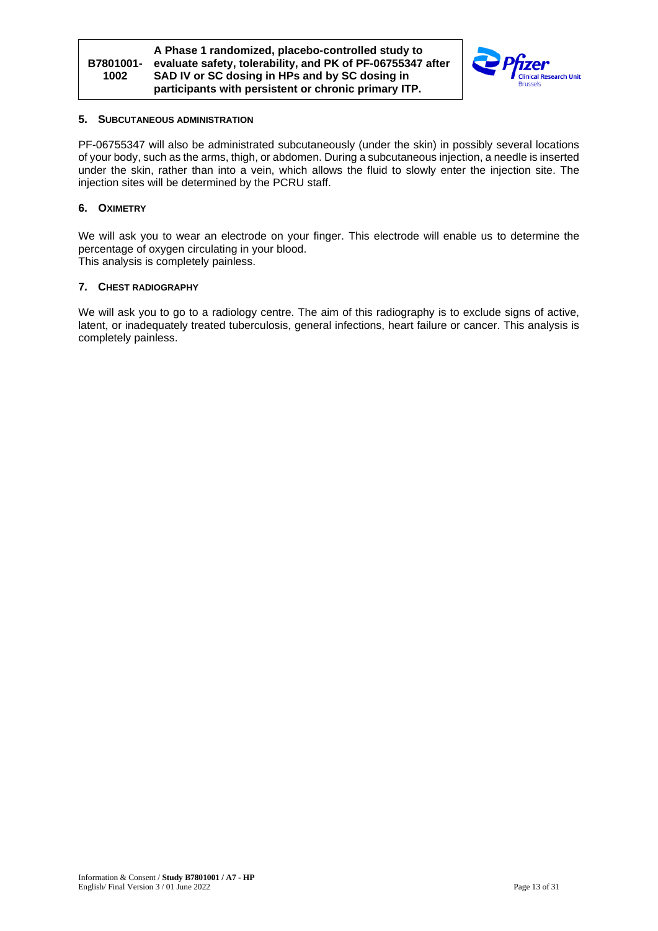

#### **5. SUBCUTANEOUS ADMINISTRATION**

PF-06755347 will also be administrated subcutaneously (under the skin) in possibly several locations of your body, such as the arms, thigh, or abdomen. During a subcutaneous injection, a needle is inserted under the skin, rather than into a vein, which allows the fluid to slowly enter the injection site. The injection sites will be determined by the PCRU staff.

#### <span id="page-12-0"></span>**6. OXIMETRY**

We will ask you to wear an electrode on your finger. This electrode will enable us to determine the percentage of oxygen circulating in your blood. This analysis is completely painless.

#### **7. CHEST RADIOGRAPHY**

We will ask you to go to a radiology centre. The aim of this radiography is to exclude signs of active, latent, or inadequately treated tuberculosis, general infections, heart failure or cancer. This analysis is completely painless.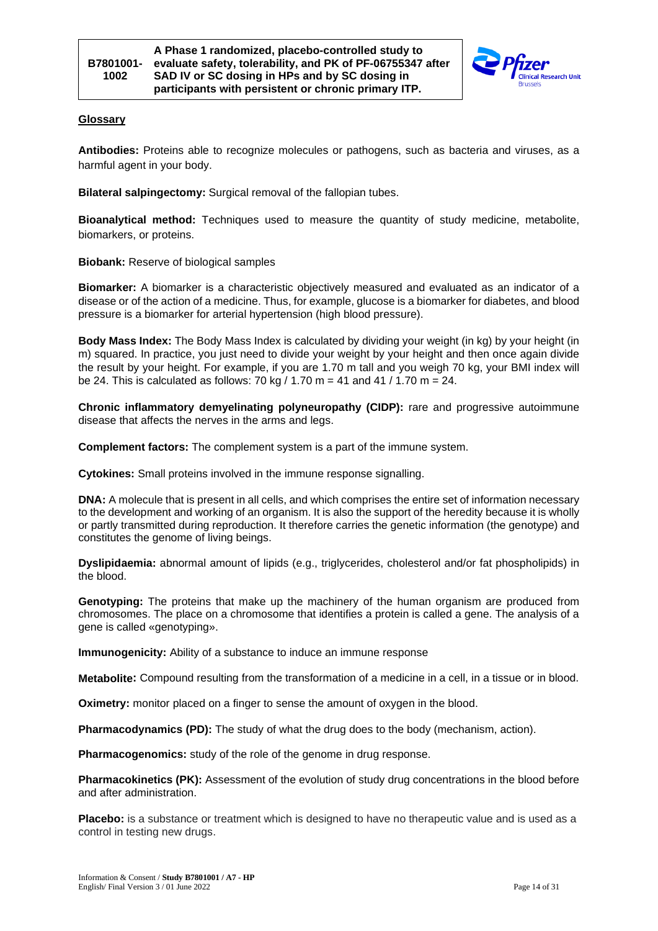

# <span id="page-13-0"></span>**Glossary**

**Antibodies:** Proteins able to recognize molecules or pathogens, such as bacteria and viruses, as a harmful agent in your body.

**Bilateral salpingectomy:** Surgical removal of the fallopian tubes.

**Bioanalytical method:** Techniques used to measure the quantity of study medicine, metabolite, biomarkers, or proteins.

**Biobank:** Reserve of biological samples

**Biomarker:** A biomarker is a characteristic objectively measured and evaluated as an indicator of a disease or of the action of a medicine. Thus, for example, glucose is a biomarker for diabetes, and blood pressure is a biomarker for arterial hypertension (high blood pressure).

**Body Mass Index:** The Body Mass Index is calculated by dividing your weight (in kg) by your height (in m) squared. In practice, you just need to divide your weight by your height and then once again divide the result by your height. For example, if you are 1.70 m tall and you weigh 70 kg, your BMI index will be 24. This is calculated as follows: 70 kg  $/$  1.70 m = 41 and 41  $/$  1.70 m = 24.

**Chronic inflammatory demyelinating polyneuropathy (CIDP):** rare and progressive autoimmune disease that affects the nerves in the arms and legs.

**Complement factors:** The complement system is a part of the immune system.

**Cytokines:** Small proteins involved in the immune response signalling.

**DNA:** A molecule that is present in all cells, and which comprises the entire set of information necessary to the development and working of an organism. It is also the support of the heredity because it is wholly or partly transmitted during reproduction. It therefore carries the genetic information (the genotype) and constitutes the genome of living beings.

**Dyslipidaemia:** abnormal amount of lipids (e.g., triglycerides, cholesterol and/or fat phospholipids) in the blood.

**Genotyping:** The proteins that make up the machinery of the human organism are produced from chromosomes. The place on a chromosome that identifies a protein is called a gene. The analysis of a gene is called «genotyping».

**Immunogenicity:** Ability of a substance to induce an immune response

**Metabolite:** Compound resulting from the transformation of a medicine in a cell, in a tissue or in blood.

**Oximetry:** monitor placed on a finger to sense the amount of oxygen in the blood.

**Pharmacodynamics (PD):** The study of what the drug does to the body (mechanism, action).

**Pharmacogenomics:** study of the role of the genome in drug response.

**Pharmacokinetics (PK):** Assessment of the evolution of study drug concentrations in the blood before and after administration.

**Placebo:** is a substance or treatment which is designed to have no therapeutic value and is used as a control in testing new drugs.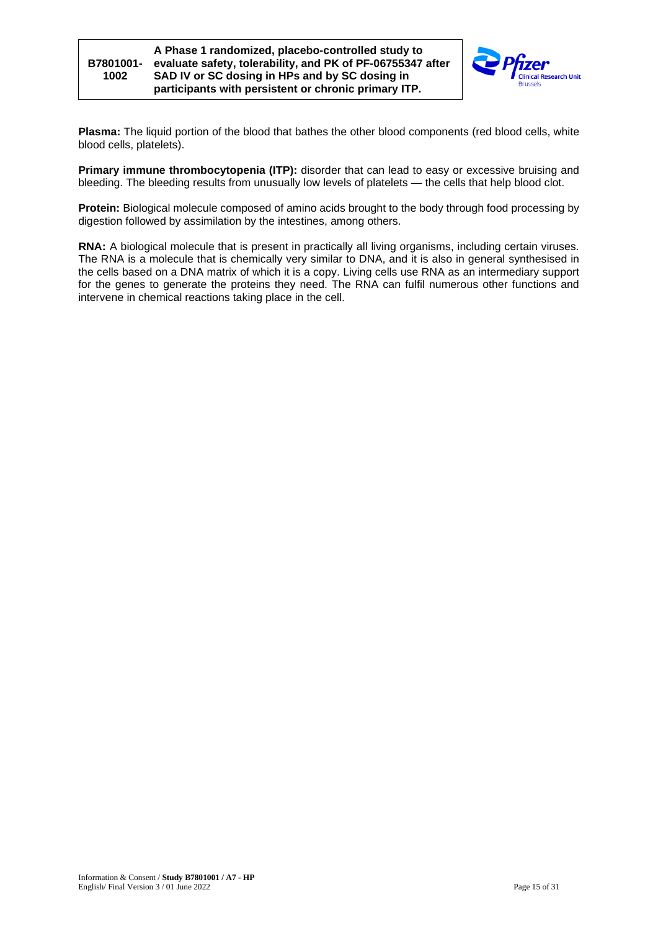

**Plasma:** The liquid portion of the blood that bathes the other blood components (red blood cells, white blood cells, platelets).

**Primary immune thrombocytopenia (ITP):** disorder that can lead to easy or excessive bruising and bleeding. The bleeding results from unusually low levels of platelets — the cells that help blood clot.

**Protein:** Biological molecule composed of amino acids brought to the body through food processing by digestion followed by assimilation by the intestines, among others.

**RNA:** A biological molecule that is present in practically all living organisms, including certain viruses. The RNA is a molecule that is chemically very similar to DNA, and it is also in general synthesised in the cells based on a DNA matrix of which it is a copy. Living cells use RNA as an intermediary support for the genes to generate the proteins they need. The RNA can fulfil numerous other functions and intervene in chemical reactions taking place in the cell.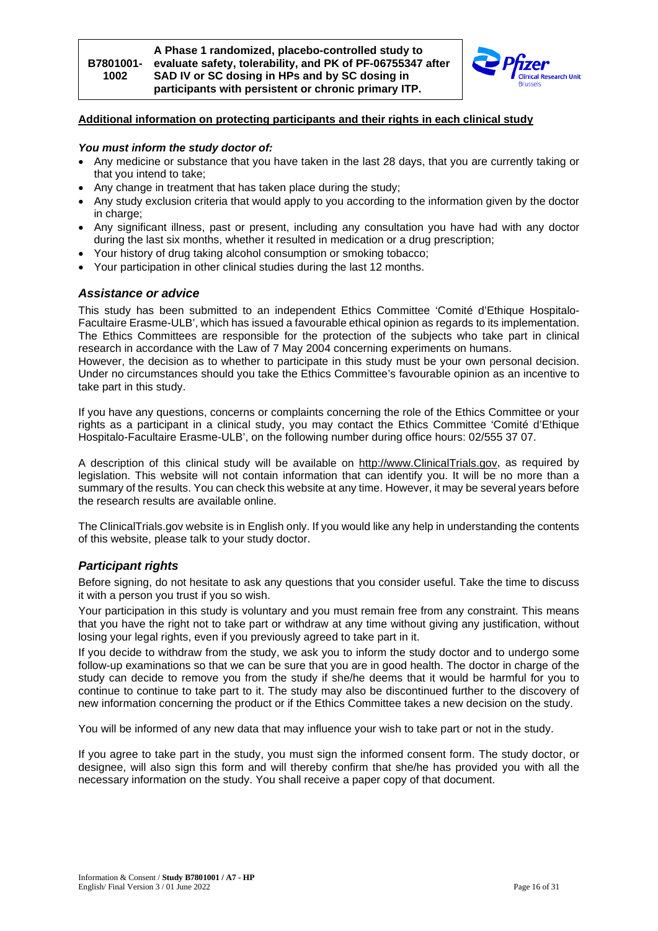

# <span id="page-15-1"></span>**Additional information on protecting participants and their rights in each clinical study**

#### *You must inform the study doctor of:*

- Any medicine or substance that you have taken in the last 28 days, that you are currently taking or that you intend to take;
- Any change in treatment that has taken place during the study;
- Any study exclusion criteria that would apply to you according to the information given by the doctor in charge:
- Any significant illness, past or present, including any consultation you have had with any doctor during the last six months, whether it resulted in medication or a drug prescription;
- Your history of drug taking alcohol consumption or smoking tobacco;
- Your participation in other clinical studies during the last 12 months.

### *Assistance or advice*

This study has been submitted to an independent Ethics Committee 'Comité d'Ethique Hospitalo-Facultaire Erasme-ULB', which has issued a favourable ethical opinion as regards to its implementation. The Ethics Committees are responsible for the protection of the subjects who take part in clinical research in accordance with the Law of 7 May 2004 concerning experiments on humans.

However, the decision as to whether to participate in this study must be your own personal decision. Under no circumstances should you take the Ethics Committee's favourable opinion as an incentive to take part in this study.

If you have any questions, concerns or complaints concerning the role of the Ethics Committee or your rights as a participant in a clinical study, you may contact the Ethics Committee 'Comité d'Ethique Hospitalo-Facultaire Erasme-ULB', on the following number during office hours: 02/555 37 07.

A description of this clinical study will be available on [http://www.ClinicalTrials.gov,](http://www.clinicaltrials.gov/) as required by legislation. This website will not contain information that can identify you. It will be no more than a summary of the results. You can check this website at any time. However, it may be several years before the research results are available online.

The ClinicalTrials.gov website is in English only. If you would like any help in understanding the contents of this website, please talk to your study doctor.

### <span id="page-15-0"></span>*Participant rights*

Before signing, do not hesitate to ask any questions that you consider useful. Take the time to discuss it with a person you trust if you so wish.

Your participation in this study is voluntary and you must remain free from any constraint. This means that you have the right not to take part or withdraw at any time without giving any justification, without losing your legal rights, even if you previously agreed to take part in it.

If you decide to withdraw from the study, we ask you to inform the study doctor and to undergo some follow-up examinations so that we can be sure that you are in good health. The doctor in charge of the study can decide to remove you from the study if she/he deems that it would be harmful for you to continue to continue to take part to it. The study may also be discontinued further to the discovery of new information concerning the product or if the Ethics Committee takes a new decision on the study.

You will be informed of any new data that may influence your wish to take part or not in the study.

If you agree to take part in the study, you must sign the informed consent form. The study doctor, or designee, will also sign this form and will thereby confirm that she/he has provided you with all the necessary information on the study. You shall receive a paper copy of that document.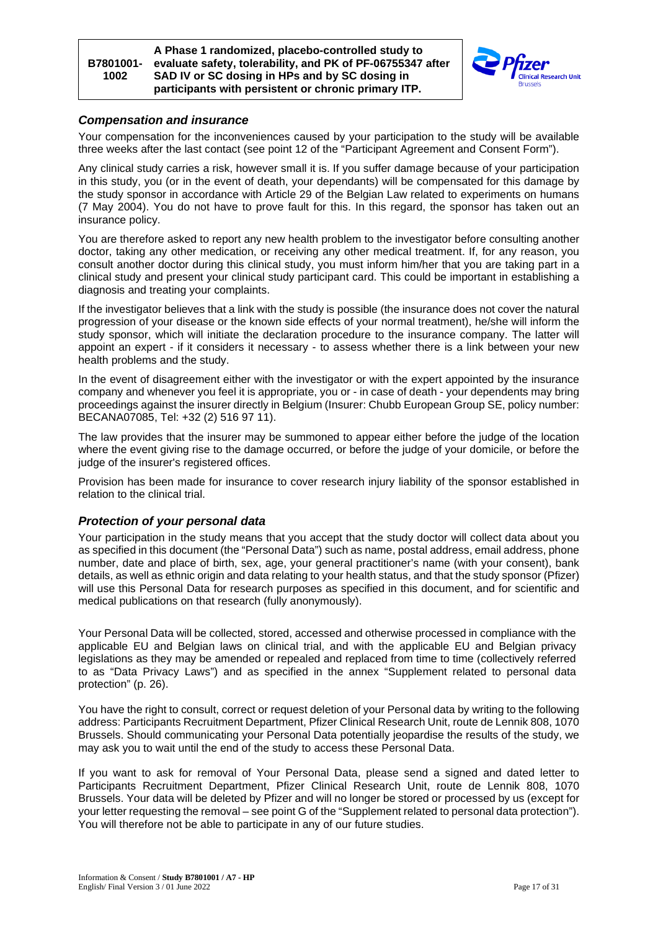



### *Compensation and insurance*

Your compensation for the inconveniences caused by your participation to the study will be available three weeks after the last contact (see point [12](#page-20-0) of the "Participant Agreement and Consent Form").

Any clinical study carries a risk, however small it is. If you suffer damage because of your participation in this study, you (or in the event of death, your dependants) will be compensated for this damage by the study sponsor in accordance with Article 29 of the Belgian Law related to experiments on humans (7 May 2004). You do not have to prove fault for this. In this regard, the sponsor has taken out an insurance policy.

You are therefore asked to report any new health problem to the investigator before consulting another doctor, taking any other medication, or receiving any other medical treatment. If, for any reason, you consult another doctor during this clinical study, you must inform him/her that you are taking part in a clinical study and present your clinical study participant card. This could be important in establishing a diagnosis and treating your complaints.

If the investigator believes that a link with the study is possible (the insurance does not cover the natural progression of your disease or the known side effects of your normal treatment), he/she will inform the study sponsor, which will initiate the declaration procedure to the insurance company. The latter will appoint an expert - if it considers it necessary - to assess whether there is a link between your new health problems and the study.

In the event of disagreement either with the investigator or with the expert appointed by the insurance company and whenever you feel it is appropriate, you or - in case of death - your dependents may bring proceedings against the insurer directly in Belgium (Insurer: Chubb European Group SE, policy number: BECANA07085, Tel: +32 (2) 516 97 11).

The law provides that the insurer may be summoned to appear either before the judge of the location where the event giving rise to the damage occurred, or before the judge of your domicile, or before the judge of the insurer's registered offices.

Provision has been made for insurance to cover research injury liability of the sponsor established in relation to the clinical trial.

### <span id="page-16-0"></span>*Protection of your personal data*

Your participation in the study means that you accept that the study doctor will collect data about you as specified in this document (the "Personal Data") such as name, postal address, email address, phone number, date and place of birth, sex, age, your general practitioner's name (with your consent), bank details, as well as ethnic origin and data relating to your health status, and that the study sponsor (Pfizer) will use this Personal Data for research purposes as specified in this document, and for scientific and medical publications on that research (fully anonymously).

Your Personal Data will be collected, stored, accessed and otherwise processed in compliance with the applicable EU and Belgian laws on clinical trial, and with the applicable EU and Belgian privacy legislations as they may be amended or repealed and replaced from time to time (collectively referred to as "Data Privacy Laws") and as specified in the annex "Supplement related to personal data protection" (p. [26\)](#page-25-0).

You have the right to consult, correct or request deletion of your Personal data by writing to the following address: Participants Recruitment Department, Pfizer Clinical Research Unit, route de Lennik 808, 1070 Brussels. Should communicating your Personal Data potentially jeopardise the results of the study, we may ask you to wait until the end of the study to access these Personal Data.

If you want to ask for removal of Your Personal Data, please send a signed and dated letter to Participants Recruitment Department, Pfizer Clinical Research Unit, route de Lennik 808, 1070 Brussels. Your data will be deleted by Pfizer and will no longer be stored or processed by us (except for your letter requesting the removal – see point G of the "Supplement related to personal data protection"). You will therefore not be able to participate in any of our future studies.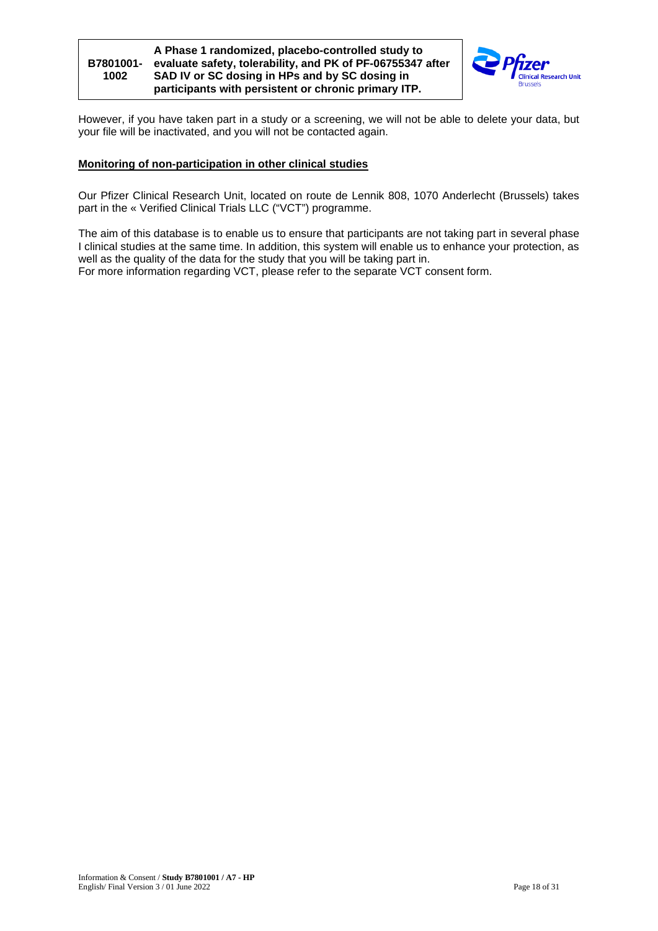

However, if you have taken part in a study or a screening, we will not be able to delete your data, but your file will be inactivated, and you will not be contacted again.

#### **Monitoring of non-participation in other clinical studies**

Our Pfizer Clinical Research Unit, located on route de Lennik 808, 1070 Anderlecht (Brussels) takes part in the « Verified Clinical Trials LLC ("VCT") programme.

The aim of this database is to enable us to ensure that participants are not taking part in several phase I clinical studies at the same time. In addition, this system will enable us to enhance your protection, as well as the quality of the data for the study that you will be taking part in. For more information regarding VCT, please refer to the separate VCT consent form.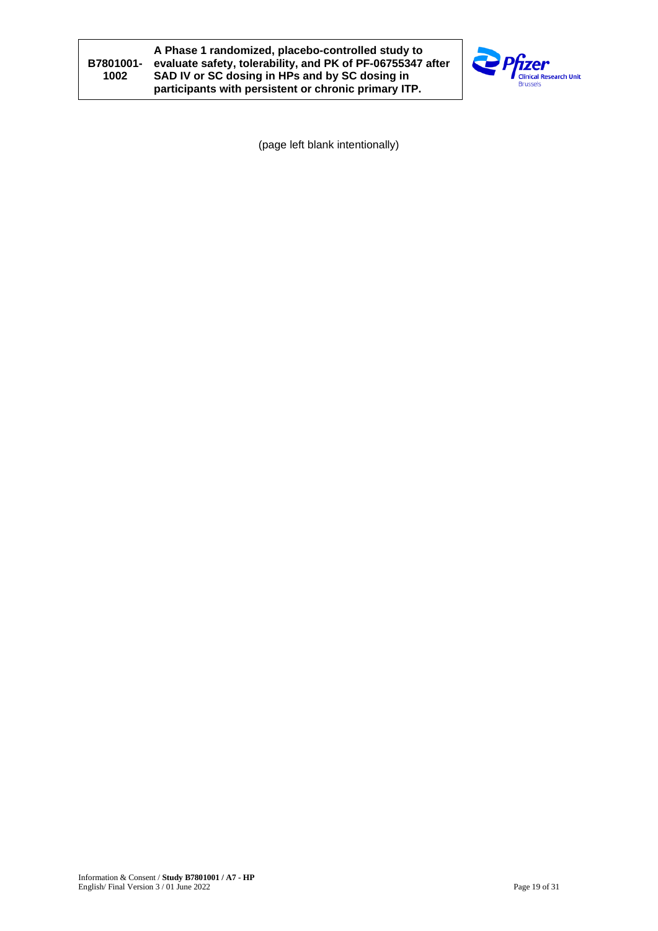

(page left blank intentionally)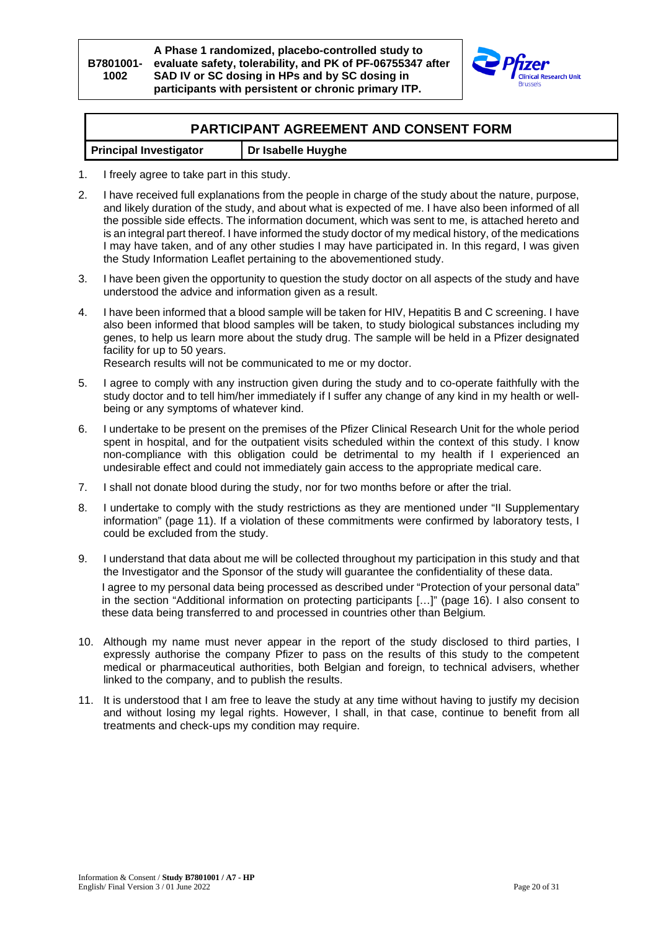

# **PARTICIPANT AGREEMENT AND CONSENT FORM**

| <b>Principal Investigator</b> | Dr Isabelle Huyghe |
|-------------------------------|--------------------|
|-------------------------------|--------------------|

- 1. I freely agree to take part in this study.
- 2. I have received full explanations from the people in charge of the study about the nature, purpose, and likely duration of the study, and about what is expected of me. I have also been informed of all the possible side effects. The information document, which was sent to me, is attached hereto and is an integral part thereof. I have informed the study doctor of my medical history, of the medications I may have taken, and of any other studies I may have participated in. In this regard, I was given the Study Information Leaflet pertaining to the abovementioned study.
- 3. I have been given the opportunity to question the study doctor on all aspects of the study and have understood the advice and information given as a result.
- 4. I have been informed that a blood sample will be taken for HIV, Hepatitis B and C screening. I have also been informed that blood samples will be taken, to study biological substances including my genes, to help us learn more about the study drug. The sample will be held in a Pfizer designated facility for up to 50 years.

Research results will not be communicated to me or my doctor.

- 5. I agree to comply with any instruction given during the study and to co-operate faithfully with the study doctor and to tell him/her immediately if I suffer any change of any kind in my health or wellbeing or any symptoms of whatever kind.
- 6. I undertake to be present on the premises of the Pfizer Clinical Research Unit for the whole period spent in hospital, and for the outpatient visits scheduled within the context of this study. I know non-compliance with this obligation could be detrimental to my health if I experienced an undesirable effect and could not immediately gain access to the appropriate medical care.
- 7. I shall not donate blood during the study, nor for two months before or after the trial.
- 8. I undertake to comply with the study restrictions as they are mentioned under "II Supplementary information" (page [11\)](#page-10-0). If a violation of these commitments were confirmed by laboratory tests, I could be excluded from the study.
- 9. I understand that data about me will be collected throughout my participation in this study and that the Investigator and the Sponsor of the study will guarantee the confidentiality of these data. I agree to my personal data being processed as described under "Protection of your personal data" in the section "Additional information on protecting participants […]" (page [16\)](#page-15-1). I also consent to these data being transferred to and processed in countries other than Belgium*.*
- 10. Although my name must never appear in the report of the study disclosed to third parties, I expressly authorise the company Pfizer to pass on the results of this study to the competent medical or pharmaceutical authorities, both Belgian and foreign, to technical advisers, whether linked to the company, and to publish the results.
- 11. It is understood that I am free to leave the study at any time without having to justify my decision and without losing my legal rights. However, I shall, in that case, continue to benefit from all treatments and check-ups my condition may require.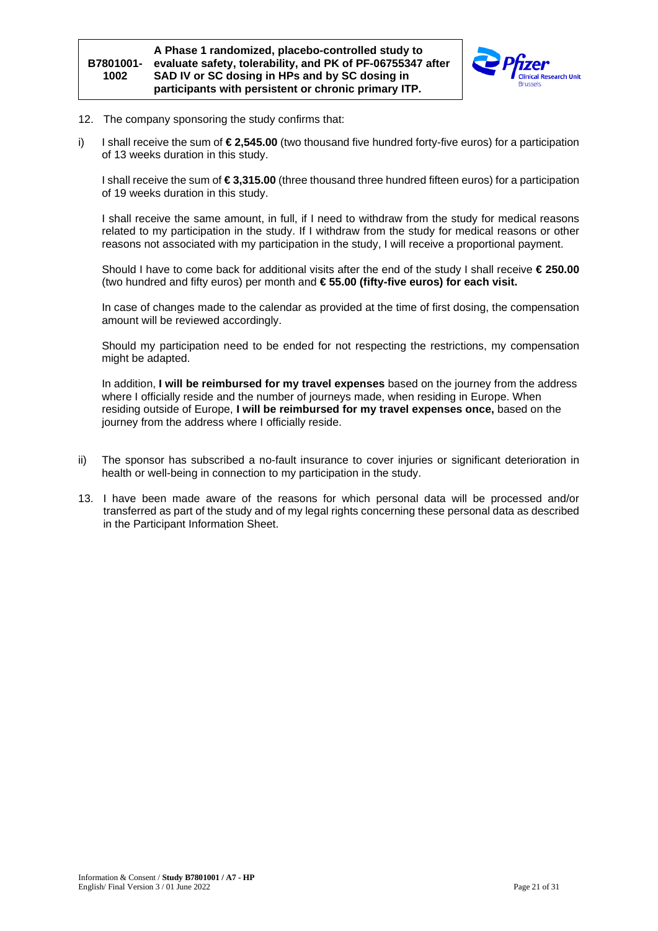

- <span id="page-20-0"></span>12. The company sponsoring the study confirms that:
- i) I shall receive the sum of **€ 2,545.00** (two thousand five hundred forty-five euros) for a participation of 13 weeks duration in this study.

I shall receive the sum of **€ 3,315.00** (three thousand three hundred fifteen euros) for a participation of 19 weeks duration in this study.

I shall receive the same amount, in full, if I need to withdraw from the study for medical reasons related to my participation in the study. If I withdraw from the study for medical reasons or other reasons not associated with my participation in the study, I will receive a proportional payment.

Should I have to come back for additional visits after the end of the study I shall receive **€ 250.00**  (two hundred and fifty euros) per month and **€ 55.00 (fifty-five euros) for each visit.**

In case of changes made to the calendar as provided at the time of first dosing, the compensation amount will be reviewed accordingly.

Should my participation need to be ended for not respecting the restrictions, my compensation might be adapted.

In addition, **I will be reimbursed for my travel expenses** based on the journey from the address where I officially reside and the number of journeys made, when residing in Europe. When residing outside of Europe, **I will be reimbursed for my travel expenses once,** based on the journey from the address where I officially reside.

- ii) The sponsor has subscribed a no-fault insurance to cover injuries or significant deterioration in health or well-being in connection to my participation in the study.
- 13. I have been made aware of the reasons for which personal data will be processed and/or transferred as part of the study and of my legal rights concerning these personal data as described in the Participant Information Sheet.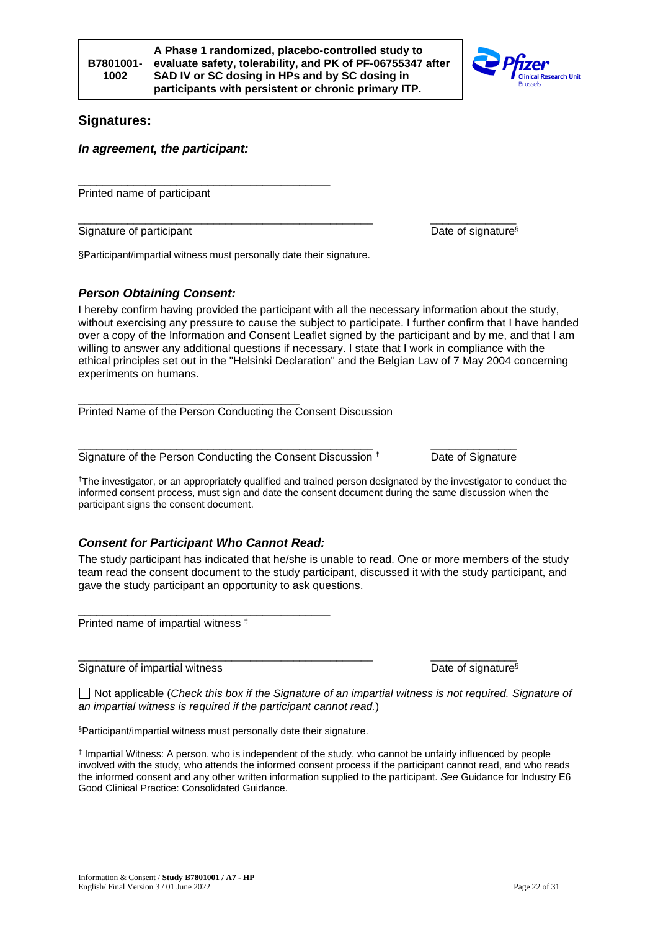# **Signatures:**

# *In agreement, the participant:*

\_\_\_\_\_\_\_\_\_\_\_\_\_\_\_\_\_\_\_\_\_\_\_\_\_\_\_\_\_\_\_\_\_\_\_\_\_\_\_\_\_ Printed name of participant

\_\_\_\_\_\_\_\_\_\_\_\_\_\_\_\_\_\_\_\_\_\_\_\_\_\_\_\_\_\_\_\_\_\_\_\_\_\_\_\_\_\_\_\_\_\_\_\_ \_\_\_\_\_\_\_\_\_\_\_\_\_\_ Signature of participant  $\blacksquare$ 

§Participant/impartial witness must personally date their signature.

# *Person Obtaining Consent:*

I hereby confirm having provided the participant with all the necessary information about the study, without exercising any pressure to cause the subject to participate. I further confirm that I have handed over a copy of the Information and Consent Leaflet signed by the participant and by me, and that I am willing to answer any additional questions if necessary. I state that I work in compliance with the ethical principles set out in the "Helsinki Declaration" and the Belgian Law of 7 May 2004 concerning experiments on humans.

\_\_\_\_\_\_\_\_\_\_\_\_\_\_\_\_\_\_\_\_\_\_\_\_\_\_\_\_\_\_\_\_\_\_\_\_ Printed Name of the Person Conducting the Consent Discussion

\_\_\_\_\_\_\_\_\_\_\_\_\_\_\_\_\_\_\_\_\_\_\_\_\_\_\_\_\_\_\_\_\_\_\_\_\_\_\_\_\_\_\_\_\_\_\_\_ \_\_\_\_\_\_\_\_\_\_\_\_\_\_ Signature of the Person Conducting the Consent Discussion <sup>†</sup> Date of Signature

†The investigator, or an appropriately qualified and trained person designated by the investigator to conduct the informed consent process, must sign and date the consent document during the same discussion when the participant signs the consent document.

# *Consent for Participant Who Cannot Read:*

The study participant has indicated that he/she is unable to read. One or more members of the study team read the consent document to the study participant, discussed it with the study participant, and gave the study participant an opportunity to ask questions.

\_\_\_\_\_\_\_\_\_\_\_\_\_\_\_\_\_\_\_\_\_\_\_\_\_\_\_\_\_\_\_\_\_\_\_\_\_\_\_\_\_ Printed name of impartial witness ‡

Signature of impartial witness Date of signature<sup>§</sup>

Not applicable (*Check this box if the Signature of an impartial witness is not required. Signature of an impartial witness is required if the participant cannot read.*)

§Participant/impartial witness must personally date their signature.

‡ Impartial Witness: A person, who is independent of the study, who cannot be unfairly influenced by people involved with the study, who attends the informed consent process if the participant cannot read, and who reads the informed consent and any other written information supplied to the participant. *See* Guidance for Industry E6 Good Clinical Practice: Consolidated Guidance.



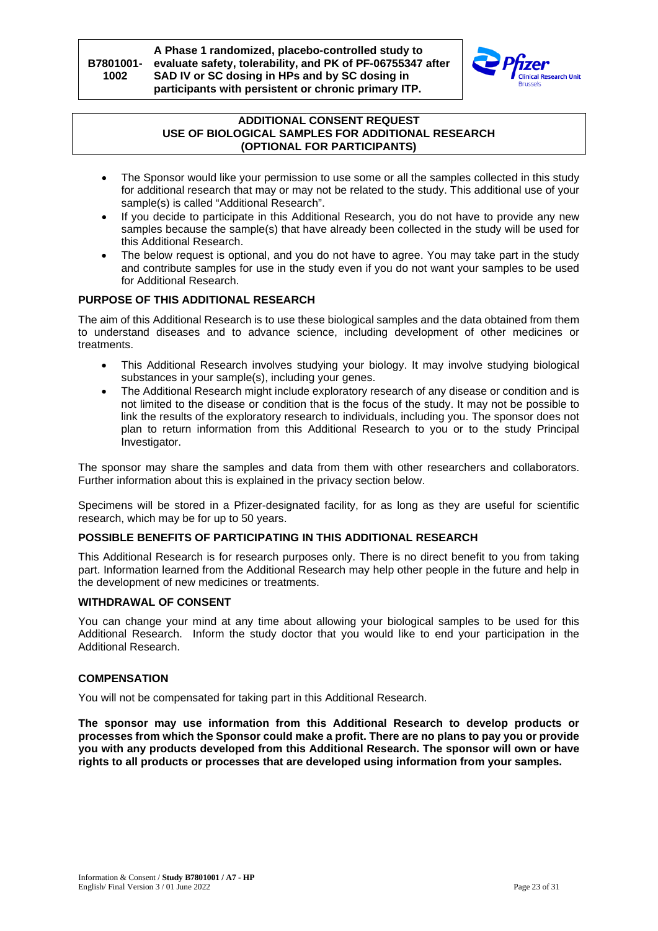

#### **ADDITIONAL CONSENT REQUEST USE OF BIOLOGICAL SAMPLES FOR ADDITIONAL RESEARCH (OPTIONAL FOR PARTICIPANTS)**

- <span id="page-22-0"></span>The Sponsor would like your permission to use some or all the samples collected in this study for additional research that may or may not be related to the study. This additional use of your sample(s) is called "Additional Research".
- If you decide to participate in this Additional Research, you do not have to provide any new samples because the sample(s) that have already been collected in the study will be used for this Additional Research.
- The below request is optional, and you do not have to agree. You may take part in the study and contribute samples for use in the study even if you do not want your samples to be used for Additional Research.

# **PURPOSE OF THIS ADDITIONAL RESEARCH**

The aim of this Additional Research is to use these biological samples and the data obtained from them to understand diseases and to advance science, including development of other medicines or treatments.

- This Additional Research involves studying your biology. It may involve studying biological substances in your sample(s), including your genes.
- The Additional Research might include exploratory research of any disease or condition and is not limited to the disease or condition that is the focus of the study. It may not be possible to link the results of the exploratory research to individuals, including you. The sponsor does not plan to return information from this Additional Research to you or to the study Principal Investigator.

The sponsor may share the samples and data from them with other researchers and collaborators. Further information about this is explained in the privacy section below.

Specimens will be stored in a Pfizer-designated facility, for as long as they are useful for scientific research, which may be for up to 50 years.

### **POSSIBLE BENEFITS OF PARTICIPATING IN THIS ADDITIONAL RESEARCH**

This Additional Research is for research purposes only. There is no direct benefit to you from taking part. Information learned from the Additional Research may help other people in the future and help in the development of new medicines or treatments.

# **WITHDRAWAL OF CONSENT**

You can change your mind at any time about allowing your biological samples to be used for this Additional Research. Inform the study doctor that you would like to end your participation in the Additional Research.

### **COMPENSATION**

You will not be compensated for taking part in this Additional Research.

**The sponsor may use information from this Additional Research to develop products or processes from which the Sponsor could make a profit. There are no plans to pay you or provide you with any products developed from this Additional Research. The sponsor will own or have rights to all products or processes that are developed using information from your samples.**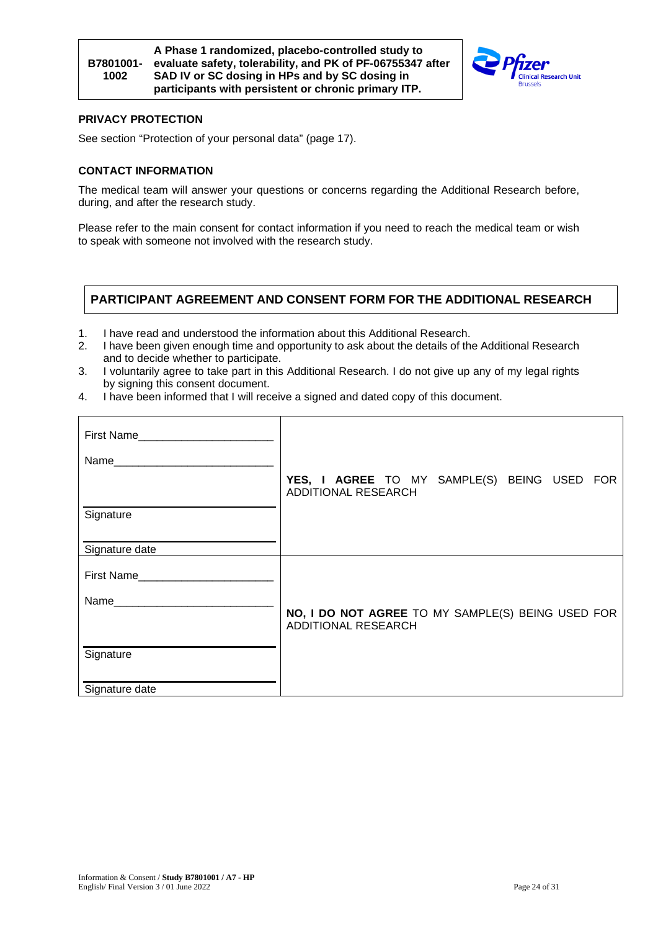



#### **PRIVACY PROTECTION**

See section "Protection of your personal data" (page [17\)](#page-16-0).

#### **CONTACT INFORMATION**

The medical team will answer your questions or concerns regarding the Additional Research before, during, and after the research study.

Please refer to the main consent for contact information if you need to reach the medical team or wish to speak with someone not involved with the research study.

# **PARTICIPANT AGREEMENT AND CONSENT FORM FOR THE ADDITIONAL RESEARCH**

- 1. I have read and understood the information about this Additional Research.
- 2. I have been given enough time and opportunity to ask about the details of the Additional Research and to decide whether to participate.
- 3. I voluntarily agree to take part in this Additional Research. I do not give up any of my legal rights by signing this consent document.
- 4. I have been informed that I will receive a signed and dated copy of this document.

| First Name                                                                                                      |                                                                           |
|-----------------------------------------------------------------------------------------------------------------|---------------------------------------------------------------------------|
| Name <b>Name</b>                                                                                                |                                                                           |
|                                                                                                                 | YES, I AGREE TO MY SAMPLE(S) BEING USED FOR<br><b>ADDITIONAL RESEARCH</b> |
| Signature                                                                                                       |                                                                           |
| Signature date                                                                                                  |                                                                           |
| First Name                                                                                                      |                                                                           |
| Name and the state of the state of the state of the state of the state of the state of the state of the state o | NO, I DO NOT AGREE TO MY SAMPLE(S) BEING USED FOR                         |
|                                                                                                                 | <b>ADDITIONAL RESEARCH</b>                                                |
| Signature                                                                                                       |                                                                           |
| Signature date                                                                                                  |                                                                           |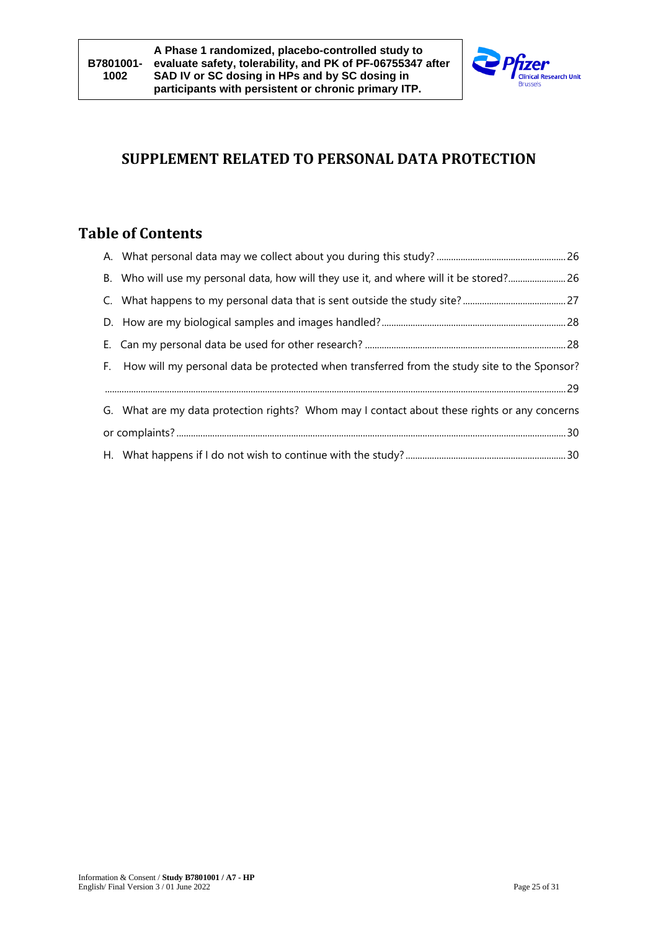

# **SUPPLEMENT RELATED TO PERSONAL DATA PROTECTION**

# **Table of Contents**

| B. Who will use my personal data, how will they use it, and where will it be stored? 26        |  |
|------------------------------------------------------------------------------------------------|--|
|                                                                                                |  |
|                                                                                                |  |
|                                                                                                |  |
| F. How will my personal data be protected when transferred from the study site to the Sponsor? |  |
|                                                                                                |  |
| G. What are my data protection rights? Whom may I contact about these rights or any concerns   |  |
|                                                                                                |  |
|                                                                                                |  |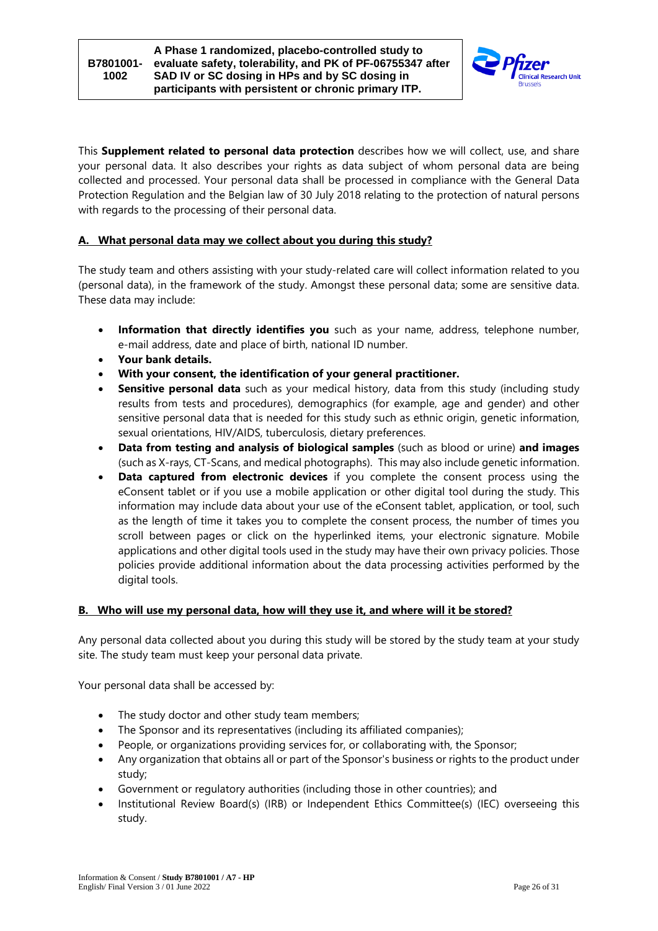

This **Supplement related to personal data protection** describes how we will collect, use, and share your personal data. It also describes your rights as data subject of whom personal data are being collected and processed. Your personal data shall be processed in compliance with the General Data Protection Regulation and the Belgian law of 30 July 2018 relating to the protection of natural persons with regards to the processing of their personal data.

# <span id="page-25-0"></span>**A. What personal data may we collect about you during this study?**

The study team and others assisting with your study-related care will collect information related to you (personal data), in the framework of the study. Amongst these personal data; some are sensitive data. These data may include:

- **Information that directly identifies you** such as your name, address, telephone number, e-mail address, date and place of birth, national ID number.
- **Your bank details.**
- **With your consent, the identification of your general practitioner.**
- **Sensitive personal data** such as your medical history, data from this study (including study results from tests and procedures), demographics (for example, age and gender) and other sensitive personal data that is needed for this study such as ethnic origin, genetic information, sexual orientations, HIV/AIDS, tuberculosis, dietary preferences.
- **Data from testing and analysis of biological samples** (such as blood or urine) **and images** (such as X-rays, CT-Scans, and medical photographs). This may also include genetic information.
- **Data captured from electronic devices** if you complete the consent process using the eConsent tablet or if you use a mobile application or other digital tool during the study. This information may include data about your use of the eConsent tablet, application, or tool, such as the length of time it takes you to complete the consent process, the number of times you scroll between pages or click on the hyperlinked items, your electronic signature. Mobile applications and other digital tools used in the study may have their own privacy policies. Those policies provide additional information about the data processing activities performed by the digital tools.

### <span id="page-25-1"></span>**B. Who will use my personal data, how will they use it, and where will it be stored?**

Any personal data collected about you during this study will be stored by the study team at your study site. The study team must keep your personal data private.

Your personal data shall be accessed by:

- The study doctor and other study team members;
- The Sponsor and its representatives (including its affiliated companies);
- People, or organizations providing services for, or collaborating with, the Sponsor;
- Any organization that obtains all or part of the Sponsor's business or rights to the product under study;
- Government or regulatory authorities (including those in other countries); and
- Institutional Review Board(s) (IRB) or Independent Ethics Committee(s) (IEC) overseeing this study.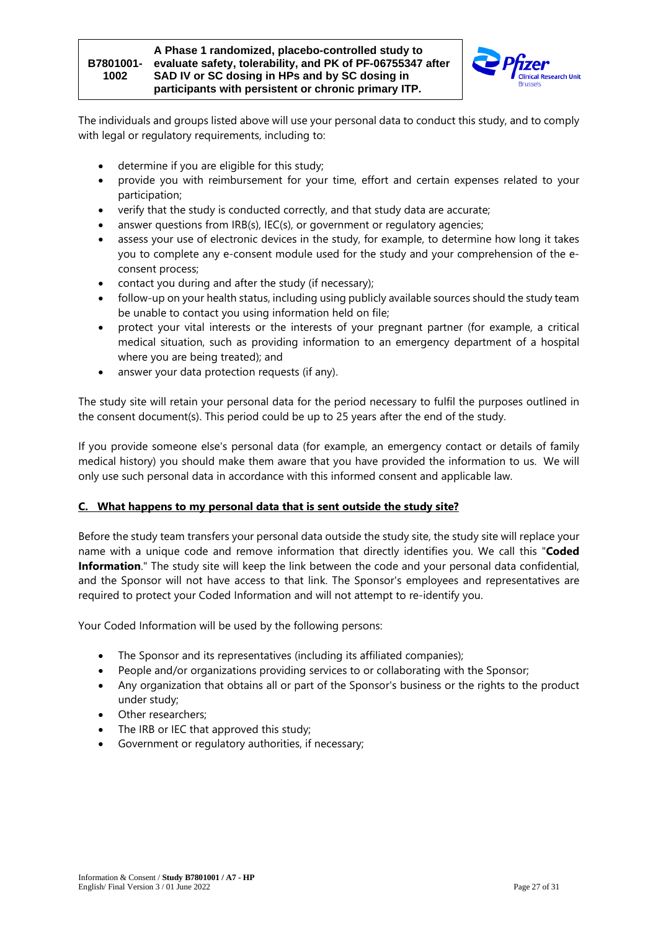#### **B7801001- evaluate safety, tolerability, and PK of PF-06755347 after 1002 A Phase 1 randomized, placebo-controlled study to SAD IV or SC dosing in HPs and by SC dosing in participants with persistent or chronic primary ITP.**



The individuals and groups listed above will use your personal data to conduct this study, and to comply with legal or regulatory requirements, including to:

- determine if you are eligible for this study;
- provide you with reimbursement for your time, effort and certain expenses related to your participation;
- verify that the study is conducted correctly, and that study data are accurate;
- answer questions from IRB(s), IEC(s), or government or regulatory agencies;
- assess your use of electronic devices in the study, for example, to determine how long it takes you to complete any e-consent module used for the study and your comprehension of the econsent process;
- contact you during and after the study (if necessary);
- follow-up on your health status, including using publicly available sources should the study team be unable to contact you using information held on file;
- protect your vital interests or the interests of your pregnant partner (for example, a critical medical situation, such as providing information to an emergency department of a hospital where you are being treated); and
- answer your data protection requests (if any).

The study site will retain your personal data for the period necessary to fulfil the purposes outlined in the consent document(s). This period could be up to 25 years after the end of the study.

If you provide someone else's personal data (for example, an emergency contact or details of family medical history) you should make them aware that you have provided the information to us. We will only use such personal data in accordance with this informed consent and applicable law.

### <span id="page-26-0"></span>**C. What happens to my personal data that is sent outside the study site?**

Before the study team transfers your personal data outside the study site, the study site will replace your name with a unique code and remove information that directly identifies you. We call this "**Coded Information**." The study site will keep the link between the code and your personal data confidential, and the Sponsor will not have access to that link. The Sponsor's employees and representatives are required to protect your Coded Information and will not attempt to re-identify you.

Your Coded Information will be used by the following persons:

- The Sponsor and its representatives (including its affiliated companies);
- People and/or organizations providing services to or collaborating with the Sponsor;
- Any organization that obtains all or part of the Sponsor's business or the rights to the product under study;
- Other researchers;
- The IRB or IEC that approved this study;
- Government or regulatory authorities, if necessary;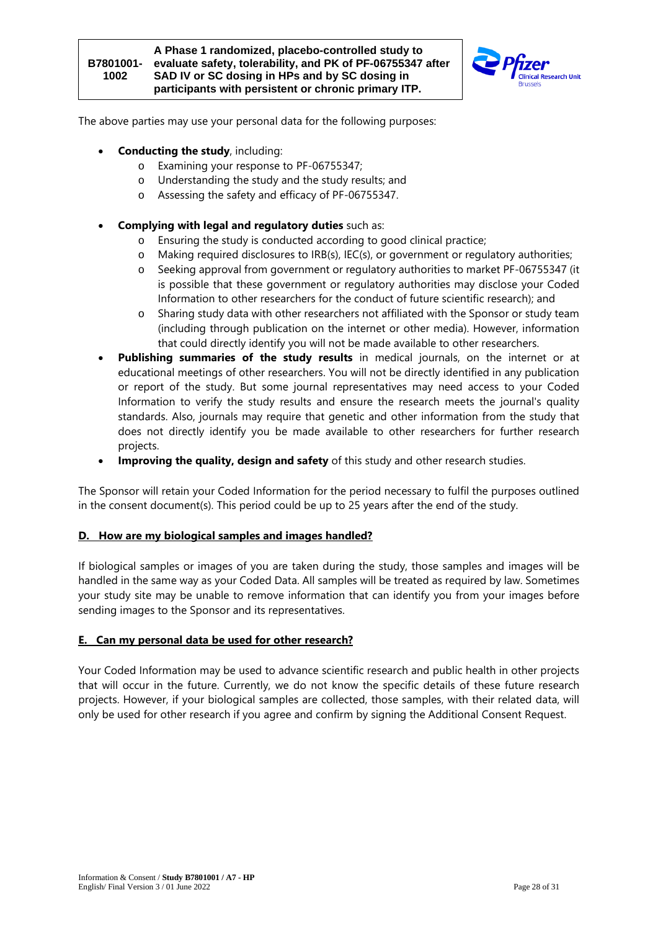

The above parties may use your personal data for the following purposes:

- **Conducting the study**, including:
	- o Examining your response to PF-06755347;
	- o Understanding the study and the study results; and
	- o Assessing the safety and efficacy of PF-06755347.
- **Complying with legal and regulatory duties** such as:
	- o Ensuring the study is conducted according to good clinical practice;
	- o Making required disclosures to IRB(s), IEC(s), or government or regulatory authorities;
	- o Seeking approval from government or regulatory authorities to market PF-06755347 (it is possible that these government or regulatory authorities may disclose your Coded Information to other researchers for the conduct of future scientific research); and
	- o Sharing study data with other researchers not affiliated with the Sponsor or study team (including through publication on the internet or other media). However, information that could directly identify you will not be made available to other researchers.
- **Publishing summaries of the study results** in medical journals, on the internet or at educational meetings of other researchers. You will not be directly identified in any publication or report of the study. But some journal representatives may need access to your Coded Information to verify the study results and ensure the research meets the journal's quality standards. Also, journals may require that genetic and other information from the study that does not directly identify you be made available to other researchers for further research projects.
- **Improving the quality, design and safety** of this study and other research studies.

The Sponsor will retain your Coded Information for the period necessary to fulfil the purposes outlined in the consent document(s). This period could be up to 25 years after the end of the study.

### <span id="page-27-0"></span>**D. How are my biological samples and images handled?**

If biological samples or images of you are taken during the study, those samples and images will be handled in the same way as your Coded Data. All samples will be treated as required by law. Sometimes your study site may be unable to remove information that can identify you from your images before sending images to the Sponsor and its representatives.

### <span id="page-27-1"></span>**E. Can my personal data be used for other research?**

Your Coded Information may be used to advance scientific research and public health in other projects that will occur in the future. Currently, we do not know the specific details of these future research projects. However, if your biological samples are collected, those samples, with their related data, will only be used for other research if you agree and confirm by signing the Additional Consent Request.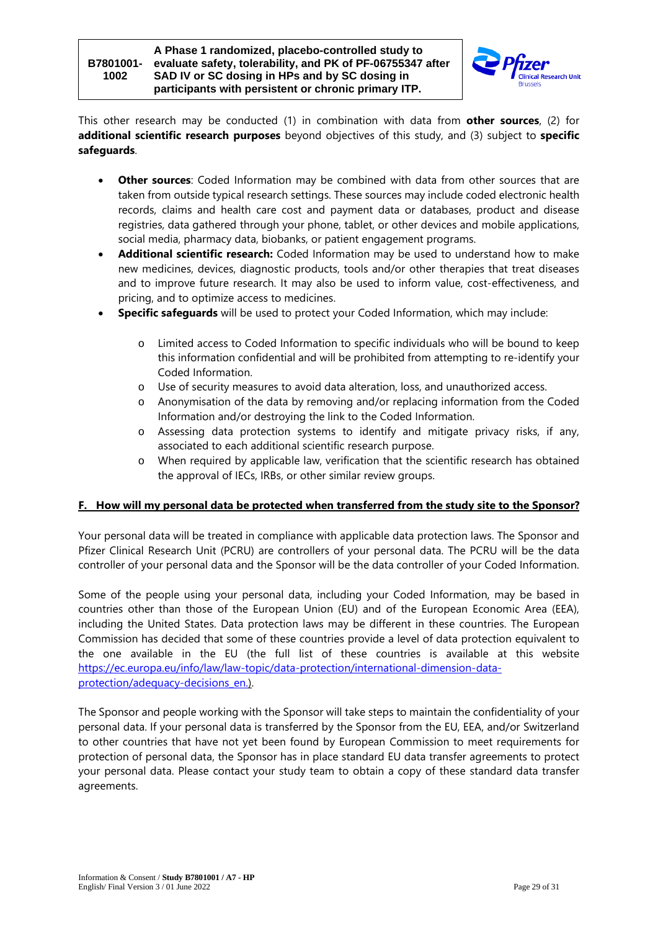

This other research may be conducted (1) in combination with data from **other sources**, (2) for **additional scientific research purposes** beyond objectives of this study, and (3) subject to **specific safeguards**.

- **Other sources**: Coded Information may be combined with data from other sources that are taken from outside typical research settings. These sources may include coded electronic health records, claims and health care cost and payment data or databases, product and disease registries, data gathered through your phone, tablet, or other devices and mobile applications, social media, pharmacy data, biobanks, or patient engagement programs.
- **Additional scientific research:** Coded Information may be used to understand how to make new medicines, devices, diagnostic products, tools and/or other therapies that treat diseases and to improve future research. It may also be used to inform value, cost-effectiveness, and pricing, and to optimize access to medicines.
- **Specific safeguards** will be used to protect your Coded Information, which may include:
	- o Limited access to Coded Information to specific individuals who will be bound to keep this information confidential and will be prohibited from attempting to re-identify your Coded Information.
	- o Use of security measures to avoid data alteration, loss, and unauthorized access.
	- o Anonymisation of the data by removing and/or replacing information from the Coded Information and/or destroying the link to the Coded Information.
	- o Assessing data protection systems to identify and mitigate privacy risks, if any, associated to each additional scientific research purpose.
	- o When required by applicable law, verification that the scientific research has obtained the approval of IECs, IRBs, or other similar review groups.

# <span id="page-28-0"></span>**F. How will my personal data be protected when transferred from the study site to the Sponsor?**

Your personal data will be treated in compliance with applicable data protection laws. The Sponsor and Pfizer Clinical Research Unit (PCRU) are controllers of your personal data. The PCRU will be the data controller of your personal data and the Sponsor will be the data controller of your Coded Information.

Some of the people using your personal data, including your Coded Information, may be based in countries other than those of the European Union (EU) and of the European Economic Area (EEA), including the United States. Data protection laws may be different in these countries. The European Commission has decided that some of these countries provide a level of data protection equivalent to the one available in the EU (the full list of these countries is available at this website https://ec.europa.eu/info/law/law-topic/data-protection/international-dimension-dataprotection/adequacy-decisions en.).

<span id="page-28-1"></span>The Sponsor and people working with the Sponsor will take steps to maintain the confidentiality of your personal data. If your personal data is transferred by the Sponsor from the EU, EEA, and/or Switzerland to other countries that have not yet been found by European Commission to meet requirements for protection of personal data, the Sponsor has in place standard EU data transfer agreements to protect your personal data. Please contact your study team to obtain a copy of these standard data transfer agreements.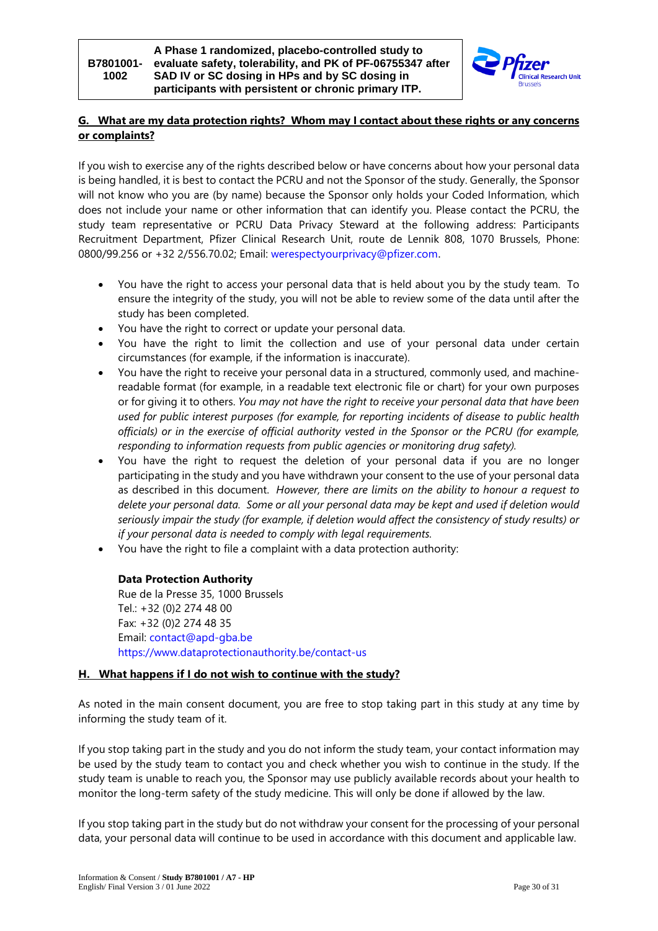

# **G. What are my data protection rights? Whom may I contact about these rights or any concerns or complaints?**

If you wish to exercise any of the rights described below or have concerns about how your personal data is being handled, it is best to contact the PCRU and not the Sponsor of the study. Generally, the Sponsor will not know who you are (by name) because the Sponsor only holds your Coded Information, which does not include your name or other information that can identify you. Please contact the PCRU, the study team representative or PCRU Data Privacy Steward at the following address: Participants Recruitment Department, Pfizer Clinical Research Unit, route de Lennik 808, 1070 Brussels, Phone: 0800/99.256 or +32 2/556.70.02; Email: werespectyourprivacy@pfizer.com.

- You have the right to access your personal data that is held about you by the study team. To ensure the integrity of the study, you will not be able to review some of the data until after the study has been completed.
- You have the right to correct or update your personal data.
- You have the right to limit the collection and use of your personal data under certain circumstances (for example, if the information is inaccurate).
- You have the right to receive your personal data in a structured, commonly used, and machinereadable format (for example, in a readable text electronic file or chart) for your own purposes or for giving it to others. *You may not have the right to receive your personal data that have been used for public interest purposes (for example, for reporting incidents of disease to public health officials) or in the exercise of official authority vested in the Sponsor or the PCRU (for example, responding to information requests from public agencies or monitoring drug safety).*
- You have the right to request the deletion of your personal data if you are no longer participating in the study and you have withdrawn your consent to the use of your personal data as described in this document. *However, there are limits on the ability to honour a request to delete your personal data. Some or all your personal data may be kept and used if deletion would seriously impair the study (for example, if deletion would affect the consistency of study results) or if your personal data is needed to comply with legal requirements.*
- You have the right to file a complaint with a data protection authority:

# **Data Protection Authority**

Rue de la Presse 35, 1000 Brussels Tel.: +32 (0)2 274 48 00 Fax: +32 (0)2 274 48 35 Email: contact@apd-gba.be https://www.dataprotectionauthority.be/contact-us

# <span id="page-29-0"></span>**H. What happens if I do not wish to continue with the study?**

As noted in the main consent document, you are free to stop taking part in this study at any time by informing the study team of it.

If you stop taking part in the study and you do not inform the study team, your contact information may be used by the study team to contact you and check whether you wish to continue in the study. If the study team is unable to reach you, the Sponsor may use publicly available records about your health to monitor the long-term safety of the study medicine. This will only be done if allowed by the law.

If you stop taking part in the study but do not withdraw your consent for the processing of your personal data, your personal data will continue to be used in accordance with this document and applicable law.